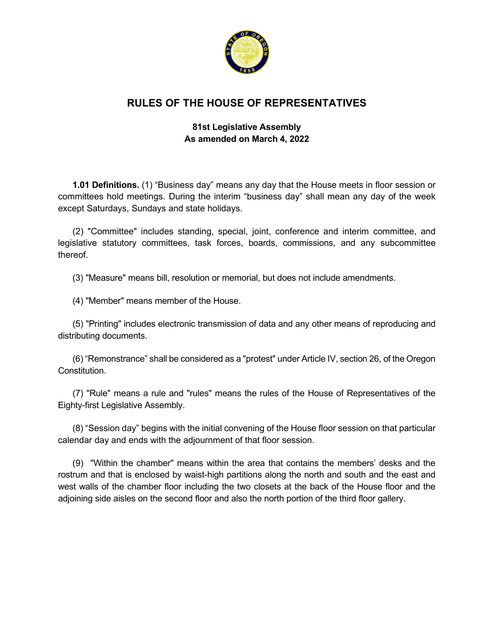

# **RULES OF THE HOUSE OF REPRESENTATIVES**

## **81st Legislative Assembly As amended on March 4, 2022**

**1.01 Definitions.** (1) "Business day" means any day that the House meets in floor session or committees hold meetings. During the interim "business day" shall mean any day of the week except Saturdays, Sundays and state holidays.

(2) "Committee" includes standing, special, joint, conference and interim committee, and legislative statutory committees, task forces, boards, commissions, and any subcommittee thereof.

(3) "Measure" means bill, resolution or memorial, but does not include amendments.

(4) "Member" means member of the House.

(5) "Printing" includes electronic transmission of data and any other means of reproducing and distributing documents.

(6) "Remonstrance" shall be considered as a "protest" under Article IV, section 26, of the Oregon **Constitution** 

(7) "Rule" means a rule and "rules" means the rules of the House of Representatives of the Eighty-first Legislative Assembly.

(8) "Session day" begins with the initial convening of the House floor session on that particular calendar day and ends with the adjournment of that floor session.

(9) "Within the chamber" means within the area that contains the members' desks and the rostrum and that is enclosed by waist-high partitions along the north and south and the east and west walls of the chamber floor including the two closets at the back of the House floor and the adjoining side aisles on the second floor and also the north portion of the third floor gallery.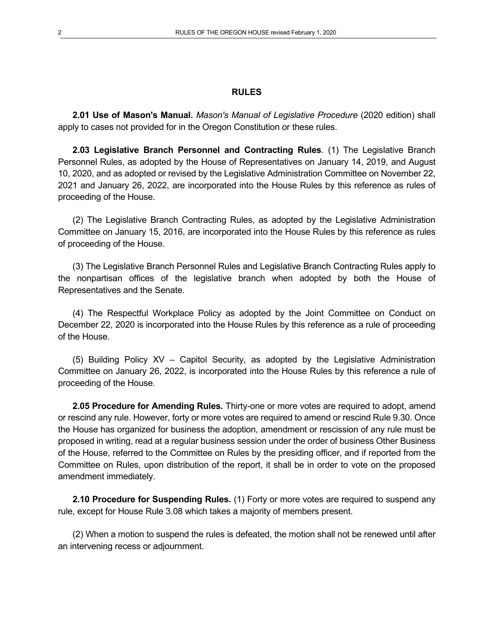#### **RULES**

**2.01 Use of Mason's Manual.** *Mason's Manual of Legislative Procedure* (2020 edition) shall apply to cases not provided for in the Oregon Constitution or these rules.

**2.03 Legislative Branch Personnel and Contracting Rules**. (1) The Legislative Branch Personnel Rules, as adopted by the House of Representatives on January 14, 2019, and August 10, 2020, and as adopted or revised by the Legislative Administration Committee on November 22, 2021 and January 26, 2022, are incorporated into the House Rules by this reference as rules of proceeding of the House.

(2) The Legislative Branch Contracting Rules, as adopted by the Legislative Administration Committee on January 15, 2016, are incorporated into the House Rules by this reference as rules of proceeding of the House.

(3) The Legislative Branch Personnel Rules and Legislative Branch Contracting Rules apply to the nonpartisan offices of the legislative branch when adopted by both the House of Representatives and the Senate.

(4) The Respectful Workplace Policy as adopted by the Joint Committee on Conduct on December 22, 2020 is incorporated into the House Rules by this reference as a rule of proceeding of the House.

(5) Building Policy XV – Capitol Security, as adopted by the Legislative Administration Committee on January 26, 2022, is incorporated into the House Rules by this reference a rule of proceeding of the House.

**2.05 Procedure for Amending Rules.** Thirty-one or more votes are required to adopt, amend or rescind any rule. However, forty or more votes are required to amend or rescind Rule 9.30. Once the House has organized for business the adoption, amendment or rescission of any rule must be proposed in writing, read at a regular business session under the order of business Other Business of the House, referred to the Committee on Rules by the presiding officer, and if reported from the Committee on Rules, upon distribution of the report, it shall be in order to vote on the proposed amendment immediately.

**2.10 Procedure for Suspending Rules.** (1) Forty or more votes are required to suspend any rule, except for House Rule 3.08 which takes a majority of members present.

(2) When a motion to suspend the rules is defeated, the motion shall not be renewed until after an intervening recess or adjournment.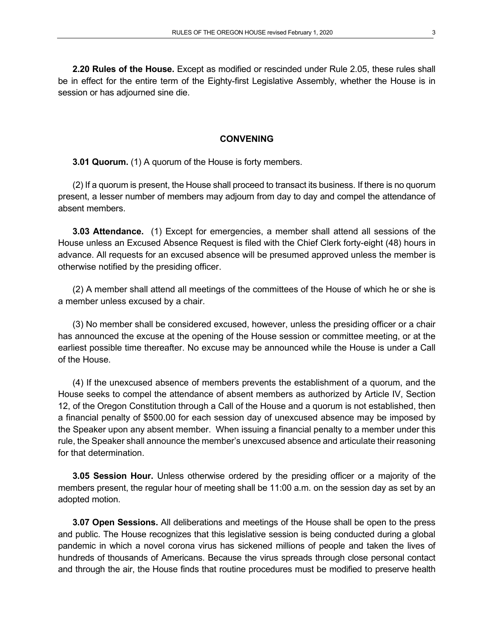**2.20 Rules of the House.** Except as modified or rescinded under Rule 2.05, these rules shall be in effect for the entire term of the Eighty-first Legislative Assembly, whether the House is in session or has adjourned sine die.

#### **CONVENING**

**3.01 Quorum.** (1) A quorum of the House is forty members.

(2) If a quorum is present, the House shall proceed to transact its business. If there is no quorum present, a lesser number of members may adjourn from day to day and compel the attendance of absent members.

**3.03 Attendance.** (1) Except for emergencies, a member shall attend all sessions of the House unless an Excused Absence Request is filed with the Chief Clerk forty-eight (48) hours in advance. All requests for an excused absence will be presumed approved unless the member is otherwise notified by the presiding officer.

(2) A member shall attend all meetings of the committees of the House of which he or she is a member unless excused by a chair.

(3) No member shall be considered excused, however, unless the presiding officer or a chair has announced the excuse at the opening of the House session or committee meeting, or at the earliest possible time thereafter. No excuse may be announced while the House is under a Call of the House.

(4) If the unexcused absence of members prevents the establishment of a quorum, and the House seeks to compel the attendance of absent members as authorized by Article IV, Section 12, of the Oregon Constitution through a Call of the House and a quorum is not established, then a financial penalty of \$500.00 for each session day of unexcused absence may be imposed by the Speaker upon any absent member. When issuing a financial penalty to a member under this rule, the Speaker shall announce the member's unexcused absence and articulate their reasoning for that determination.

**3.05 Session Hour.** Unless otherwise ordered by the presiding officer or a majority of the members present, the regular hour of meeting shall be 11:00 a.m. on the session day as set by an adopted motion.

**3.07 Open Sessions.** All deliberations and meetings of the House shall be open to the press and public. The House recognizes that this legislative session is being conducted during a global pandemic in which a novel corona virus has sickened millions of people and taken the lives of hundreds of thousands of Americans. Because the virus spreads through close personal contact and through the air, the House finds that routine procedures must be modified to preserve health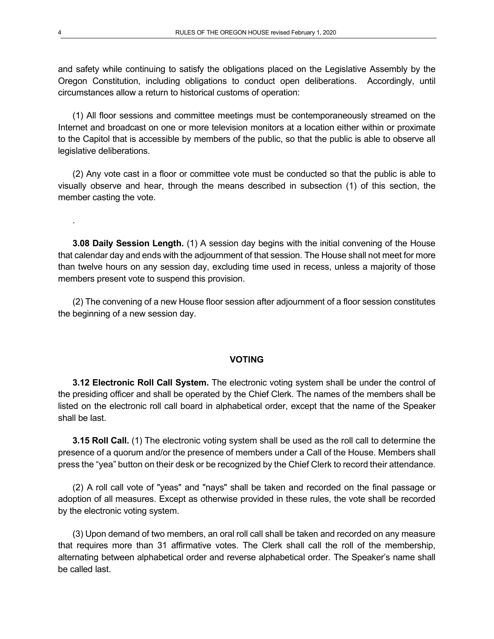and safety while continuing to satisfy the obligations placed on the Legislative Assembly by the Oregon Constitution, including obligations to conduct open deliberations. Accordingly, until circumstances allow a return to historical customs of operation:

(1) All floor sessions and committee meetings must be contemporaneously streamed on the Internet and broadcast on one or more television monitors at a location either within or proximate to the Capitol that is accessible by members of the public, so that the public is able to observe all legislative deliberations.

(2) Any vote cast in a floor or committee vote must be conducted so that the public is able to visually observe and hear, through the means described in subsection (1) of this section, the member casting the vote.

**3.08 Daily Session Length.** (1) A session day begins with the initial convening of the House that calendar day and ends with the adjournment of that session. The House shall not meet for more than twelve hours on any session day, excluding time used in recess, unless a majority of those members present vote to suspend this provision.

(2) The convening of a new House floor session after adjournment of a floor session constitutes the beginning of a new session day.

## **VOTING**

**3.12 Electronic Roll Call System.** The electronic voting system shall be under the control of the presiding officer and shall be operated by the Chief Clerk. The names of the members shall be listed on the electronic roll call board in alphabetical order, except that the name of the Speaker shall be last.

**3.15 Roll Call.** (1) The electronic voting system shall be used as the roll call to determine the presence of a quorum and/or the presence of members under a Call of the House. Members shall press the "yea" button on their desk or be recognized by the Chief Clerk to record their attendance.

(2) A roll call vote of "yeas" and "nays" shall be taken and recorded on the final passage or adoption of all measures. Except as otherwise provided in these rules, the vote shall be recorded by the electronic voting system.

(3) Upon demand of two members, an oral roll call shall be taken and recorded on any measure that requires more than 31 affirmative votes. The Clerk shall call the roll of the membership, alternating between alphabetical order and reverse alphabetical order. The Speaker's name shall be called last.

.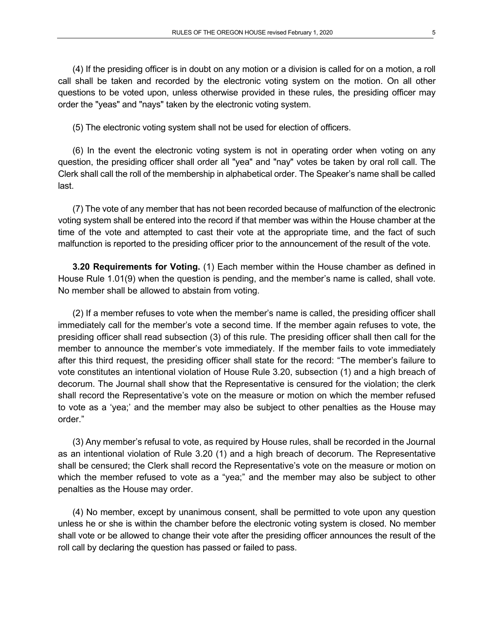(4) If the presiding officer is in doubt on any motion or a division is called for on a motion, a roll call shall be taken and recorded by the electronic voting system on the motion. On all other questions to be voted upon, unless otherwise provided in these rules, the presiding officer may order the "yeas" and "nays" taken by the electronic voting system.

(5) The electronic voting system shall not be used for election of officers.

(6) In the event the electronic voting system is not in operating order when voting on any question, the presiding officer shall order all "yea" and "nay" votes be taken by oral roll call. The Clerk shall call the roll of the membership in alphabetical order. The Speaker's name shall be called last.

(7) The vote of any member that has not been recorded because of malfunction of the electronic voting system shall be entered into the record if that member was within the House chamber at the time of the vote and attempted to cast their vote at the appropriate time, and the fact of such malfunction is reported to the presiding officer prior to the announcement of the result of the vote.

**3.20 Requirements for Voting.** (1) Each member within the House chamber as defined in House Rule 1.01(9) when the question is pending, and the member's name is called, shall vote. No member shall be allowed to abstain from voting.

(2) If a member refuses to vote when the member's name is called, the presiding officer shall immediately call for the member's vote a second time. If the member again refuses to vote, the presiding officer shall read subsection (3) of this rule. The presiding officer shall then call for the member to announce the member's vote immediately. If the member fails to vote immediately after this third request, the presiding officer shall state for the record: "The member's failure to vote constitutes an intentional violation of House Rule 3.20, subsection (1) and a high breach of decorum. The Journal shall show that the Representative is censured for the violation; the clerk shall record the Representative's vote on the measure or motion on which the member refused to vote as a 'yea;' and the member may also be subject to other penalties as the House may order."

(3) Any member's refusal to vote, as required by House rules, shall be recorded in the Journal as an intentional violation of Rule 3.20 (1) and a high breach of decorum. The Representative shall be censured; the Clerk shall record the Representative's vote on the measure or motion on which the member refused to vote as a "yea;" and the member may also be subject to other penalties as the House may order.

(4) No member, except by unanimous consent, shall be permitted to vote upon any question unless he or she is within the chamber before the electronic voting system is closed. No member shall vote or be allowed to change their vote after the presiding officer announces the result of the roll call by declaring the question has passed or failed to pass.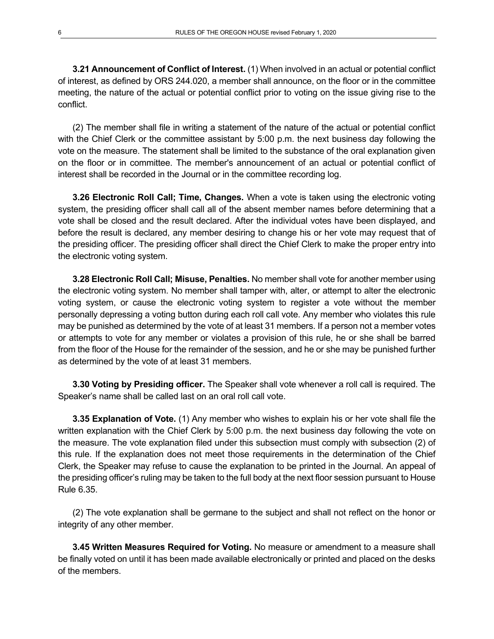**3.21 Announcement of Conflict of Interest.** (1) When involved in an actual or potential conflict of interest, as defined by ORS 244.020, a member shall announce, on the floor or in the committee meeting, the nature of the actual or potential conflict prior to voting on the issue giving rise to the conflict.

(2) The member shall file in writing a statement of the nature of the actual or potential conflict with the Chief Clerk or the committee assistant by 5:00 p.m. the next business day following the vote on the measure. The statement shall be limited to the substance of the oral explanation given on the floor or in committee. The member's announcement of an actual or potential conflict of interest shall be recorded in the Journal or in the committee recording log.

**3.26 Electronic Roll Call; Time, Changes.** When a vote is taken using the electronic voting system, the presiding officer shall call all of the absent member names before determining that a vote shall be closed and the result declared. After the individual votes have been displayed, and before the result is declared, any member desiring to change his or her vote may request that of the presiding officer. The presiding officer shall direct the Chief Clerk to make the proper entry into the electronic voting system.

**3.28 Electronic Roll Call; Misuse, Penalties.** No member shall vote for another member using the electronic voting system. No member shall tamper with, alter, or attempt to alter the electronic voting system, or cause the electronic voting system to register a vote without the member personally depressing a voting button during each roll call vote. Any member who violates this rule may be punished as determined by the vote of at least 31 members. If a person not a member votes or attempts to vote for any member or violates a provision of this rule, he or she shall be barred from the floor of the House for the remainder of the session, and he or she may be punished further as determined by the vote of at least 31 members.

**3.30 Voting by Presiding officer.** The Speaker shall vote whenever a roll call is required. The Speaker's name shall be called last on an oral roll call vote.

**3.35 Explanation of Vote.** (1) Any member who wishes to explain his or her vote shall file the written explanation with the Chief Clerk by 5:00 p.m. the next business day following the vote on the measure. The vote explanation filed under this subsection must comply with subsection (2) of this rule. If the explanation does not meet those requirements in the determination of the Chief Clerk, the Speaker may refuse to cause the explanation to be printed in the Journal. An appeal of the presiding officer's ruling may be taken to the full body at the next floor session pursuant to House Rule 6.35.

(2) The vote explanation shall be germane to the subject and shall not reflect on the honor or integrity of any other member.

**3.45 Written Measures Required for Voting.** No measure or amendment to a measure shall be finally voted on until it has been made available electronically or printed and placed on the desks of the members.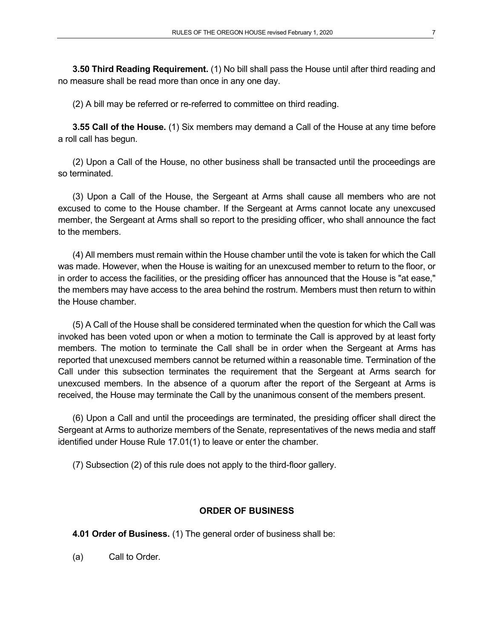**3.50 Third Reading Requirement.** (1) No bill shall pass the House until after third reading and no measure shall be read more than once in any one day.

(2) A bill may be referred or re-referred to committee on third reading.

**3.55 Call of the House.** (1) Six members may demand a Call of the House at any time before a roll call has begun.

(2) Upon a Call of the House, no other business shall be transacted until the proceedings are so terminated.

(3) Upon a Call of the House, the Sergeant at Arms shall cause all members who are not excused to come to the House chamber. If the Sergeant at Arms cannot locate any unexcused member, the Sergeant at Arms shall so report to the presiding officer, who shall announce the fact to the members.

(4) All members must remain within the House chamber until the vote is taken for which the Call was made. However, when the House is waiting for an unexcused member to return to the floor, or in order to access the facilities, or the presiding officer has announced that the House is "at ease," the members may have access to the area behind the rostrum. Members must then return to within the House chamber.

(5) A Call of the House shall be considered terminated when the question for which the Call was invoked has been voted upon or when a motion to terminate the Call is approved by at least forty members. The motion to terminate the Call shall be in order when the Sergeant at Arms has reported that unexcused members cannot be returned within a reasonable time. Termination of the Call under this subsection terminates the requirement that the Sergeant at Arms search for unexcused members. In the absence of a quorum after the report of the Sergeant at Arms is received, the House may terminate the Call by the unanimous consent of the members present.

(6) Upon a Call and until the proceedings are terminated, the presiding officer shall direct the Sergeant at Arms to authorize members of the Senate, representatives of the news media and staff identified under House Rule 17.01(1) to leave or enter the chamber.

(7) Subsection (2) of this rule does not apply to the third-floor gallery.

## **ORDER OF BUSINESS**

**4.01 Order of Business.** (1) The general order of business shall be:

(a) Call to Order.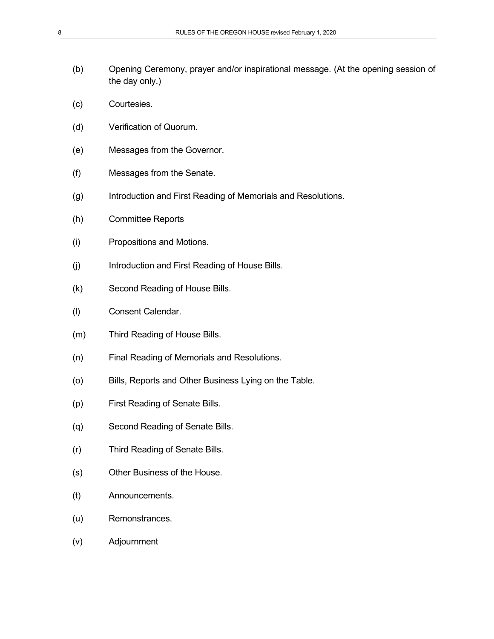- (b) Opening Ceremony, prayer and/or inspirational message. (At the opening session of the day only.)
- (c) Courtesies.
- (d) Verification of Quorum.
- (e) Messages from the Governor.
- (f) Messages from the Senate.
- (g) Introduction and First Reading of Memorials and Resolutions.
- (h) Committee Reports
- (i) Propositions and Motions.
- (j) Introduction and First Reading of House Bills.
- (k) Second Reading of House Bills.
- (l) Consent Calendar.
- (m) Third Reading of House Bills.
- (n) Final Reading of Memorials and Resolutions.
- (o) Bills, Reports and Other Business Lying on the Table.
- (p) First Reading of Senate Bills.
- (q) Second Reading of Senate Bills.
- (r) Third Reading of Senate Bills.
- (s) Other Business of the House.
- (t) Announcements.
- (u) Remonstrances.
- (v) Adjournment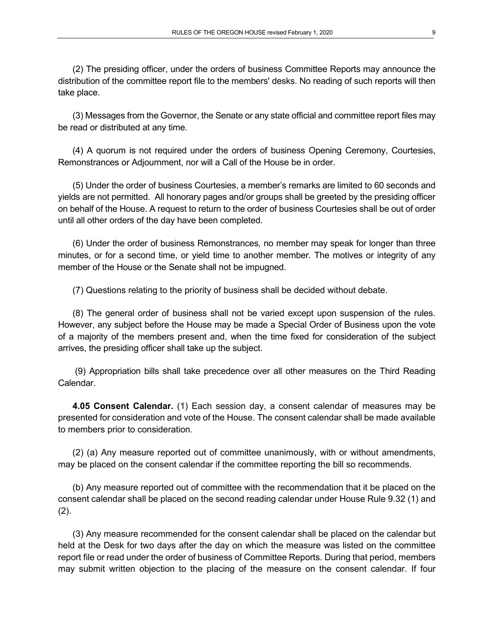(2) The presiding officer, under the orders of business Committee Reports may announce the distribution of the committee report file to the members' desks. No reading of such reports will then take place.

(3) Messages from the Governor, the Senate or any state official and committee report files may be read or distributed at any time.

(4) A quorum is not required under the orders of business Opening Ceremony, Courtesies, Remonstrances or Adjournment, nor will a Call of the House be in order.

(5) Under the order of business Courtesies, a member's remarks are limited to 60 seconds and yields are not permitted. All honorary pages and/or groups shall be greeted by the presiding officer on behalf of the House. A request to return to the order of business Courtesies shall be out of order until all other orders of the day have been completed.

(6) Under the order of business Remonstrances*,* no member may speak for longer than three minutes, or for a second time, or yield time to another member. The motives or integrity of any member of the House or the Senate shall not be impugned.

(7) Questions relating to the priority of business shall be decided without debate.

(8) The general order of business shall not be varied except upon suspension of the rules. However, any subject before the House may be made a Special Order of Business upon the vote of a majority of the members present and, when the time fixed for consideration of the subject arrives, the presiding officer shall take up the subject.

(9) Appropriation bills shall take precedence over all other measures on the Third Reading Calendar.

**4.05 Consent Calendar.** (1) Each session day, a consent calendar of measures may be presented for consideration and vote of the House. The consent calendar shall be made available to members prior to consideration.

(2) (a) Any measure reported out of committee unanimously, with or without amendments, may be placed on the consent calendar if the committee reporting the bill so recommends.

(b) Any measure reported out of committee with the recommendation that it be placed on the consent calendar shall be placed on the second reading calendar under House Rule 9.32 (1) and  $(2)$ .

(3) Any measure recommended for the consent calendar shall be placed on the calendar but held at the Desk for two days after the day on which the measure was listed on the committee report file or read under the order of business of Committee Reports. During that period, members may submit written objection to the placing of the measure on the consent calendar. If four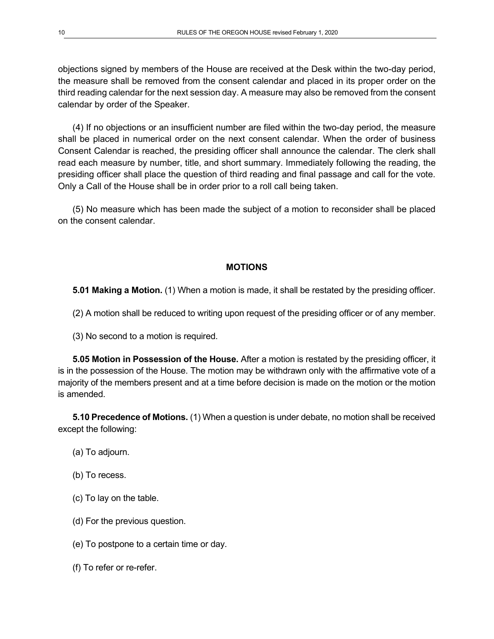objections signed by members of the House are received at the Desk within the two-day period, the measure shall be removed from the consent calendar and placed in its proper order on the third reading calendar for the next session day. A measure may also be removed from the consent calendar by order of the Speaker.

(4) If no objections or an insufficient number are filed within the two-day period, the measure shall be placed in numerical order on the next consent calendar. When the order of business Consent Calendar is reached, the presiding officer shall announce the calendar. The clerk shall read each measure by number, title, and short summary. Immediately following the reading, the presiding officer shall place the question of third reading and final passage and call for the vote. Only a Call of the House shall be in order prior to a roll call being taken.

(5) No measure which has been made the subject of a motion to reconsider shall be placed on the consent calendar.

## **MOTIONS**

**5.01 Making a Motion.** (1) When a motion is made, it shall be restated by the presiding officer.

(2) A motion shall be reduced to writing upon request of the presiding officer or of any member.

(3) No second to a motion is required.

**5.05 Motion in Possession of the House.** After a motion is restated by the presiding officer, it is in the possession of the House. The motion may be withdrawn only with the affirmative vote of a majority of the members present and at a time before decision is made on the motion or the motion is amended.

**5.10 Precedence of Motions.** (1) When a question is under debate, no motion shall be received except the following:

- (a) To adjourn.
- (b) To recess.
- (c) To lay on the table.
- (d) For the previous question.
- (e) To postpone to a certain time or day.
- (f) To refer or re-refer.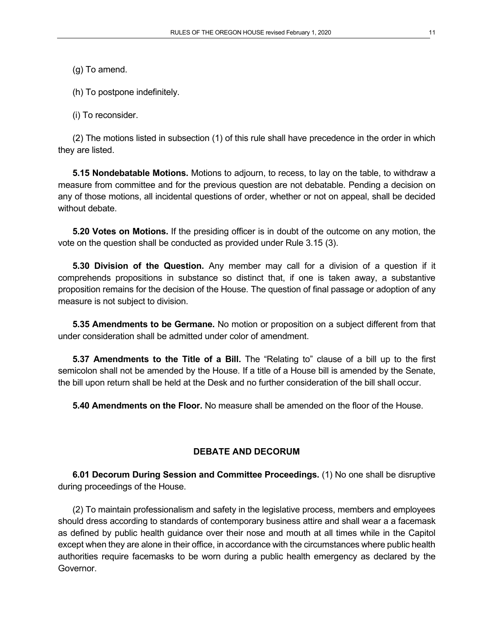- (g) To amend.
- (h) To postpone indefinitely.

(i) To reconsider.

(2) The motions listed in subsection (1) of this rule shall have precedence in the order in which they are listed.

**5.15 Nondebatable Motions.** Motions to adjourn, to recess, to lay on the table, to withdraw a measure from committee and for the previous question are not debatable. Pending a decision on any of those motions, all incidental questions of order, whether or not on appeal, shall be decided without debate.

**5.20 Votes on Motions.** If the presiding officer is in doubt of the outcome on any motion, the vote on the question shall be conducted as provided under Rule 3.15 (3).

**5.30 Division of the Question.** Any member may call for a division of a question if it comprehends propositions in substance so distinct that, if one is taken away, a substantive proposition remains for the decision of the House. The question of final passage or adoption of any measure is not subject to division.

**5.35 Amendments to be Germane.** No motion or proposition on a subject different from that under consideration shall be admitted under color of amendment.

**5.37 Amendments to the Title of a Bill.** The "Relating to" clause of a bill up to the first semicolon shall not be amended by the House. If a title of a House bill is amended by the Senate, the bill upon return shall be held at the Desk and no further consideration of the bill shall occur.

**5.40 Amendments on the Floor.** No measure shall be amended on the floor of the House.

## **DEBATE AND DECORUM**

**6.01 Decorum During Session and Committee Proceedings.** (1) No one shall be disruptive during proceedings of the House.

(2) To maintain professionalism and safety in the legislative process, members and employees should dress according to standards of contemporary business attire and shall wear a a facemask as defined by public health guidance over their nose and mouth at all times while in the Capitol except when they are alone in their office, in accordance with the circumstances where public health authorities require facemasks to be worn during a public health emergency as declared by the Governor.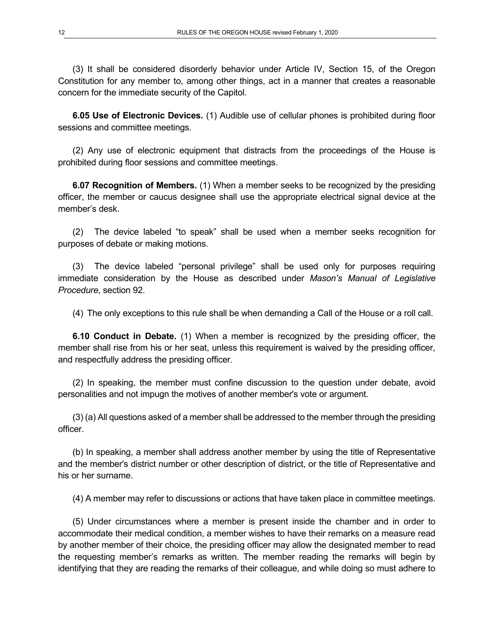(3) It shall be considered disorderly behavior under Article IV, Section 15, of the Oregon Constitution for any member to, among other things, act in a manner that creates a reasonable concern for the immediate security of the Capitol.

**6.05 Use of Electronic Devices.** (1) Audible use of cellular phones is prohibited during floor sessions and committee meetings.

(2) Any use of electronic equipment that distracts from the proceedings of the House is prohibited during floor sessions and committee meetings.

**6.07 Recognition of Members.** (1) When a member seeks to be recognized by the presiding officer, the member or caucus designee shall use the appropriate electrical signal device at the member's desk.

(2) The device labeled "to speak" shall be used when a member seeks recognition for purposes of debate or making motions.

(3) The device labeled "personal privilege" shall be used only for purposes requiring immediate consideration by the House as described under *Mason's Manual of Legislative Procedure*, section 92.

(4) The only exceptions to this rule shall be when demanding a Call of the House or a roll call.

**6.10 Conduct in Debate.** (1) When a member is recognized by the presiding officer, the member shall rise from his or her seat, unless this requirement is waived by the presiding officer, and respectfully address the presiding officer.

(2) In speaking, the member must confine discussion to the question under debate, avoid personalities and not impugn the motives of another member's vote or argument.

(3) (a) All questions asked of a member shall be addressed to the member through the presiding officer.

(b) In speaking, a member shall address another member by using the title of Representative and the member's district number or other description of district, or the title of Representative and his or her surname.

(4) A member may refer to discussions or actions that have taken place in committee meetings.

(5) Under circumstances where a member is present inside the chamber and in order to accommodate their medical condition, a member wishes to have their remarks on a measure read by another member of their choice, the presiding officer may allow the designated member to read the requesting member's remarks as written. The member reading the remarks will begin by identifying that they are reading the remarks of their colleague, and while doing so must adhere to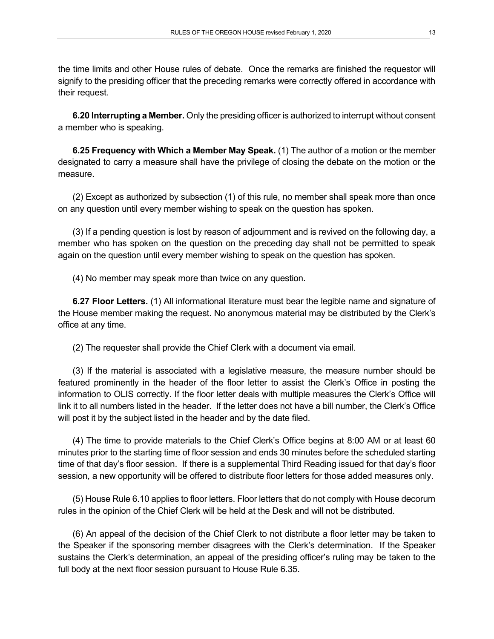the time limits and other House rules of debate. Once the remarks are finished the requestor will signify to the presiding officer that the preceding remarks were correctly offered in accordance with their request.

**6.20 Interrupting a Member.** Only the presiding officer is authorized to interrupt without consent a member who is speaking.

**6.25 Frequency with Which a Member May Speak.** (1) The author of a motion or the member designated to carry a measure shall have the privilege of closing the debate on the motion or the measure.

(2) Except as authorized by subsection (1) of this rule, no member shall speak more than once on any question until every member wishing to speak on the question has spoken.

(3) If a pending question is lost by reason of adjournment and is revived on the following day, a member who has spoken on the question on the preceding day shall not be permitted to speak again on the question until every member wishing to speak on the question has spoken.

(4) No member may speak more than twice on any question.

**6.27 Floor Letters.** (1) All informational literature must bear the legible name and signature of the House member making the request. No anonymous material may be distributed by the Clerk's office at any time.

(2) The requester shall provide the Chief Clerk with a document via email.

(3) If the material is associated with a legislative measure, the measure number should be featured prominently in the header of the floor letter to assist the Clerk's Office in posting the information to OLIS correctly. If the floor letter deals with multiple measures the Clerk's Office will link it to all numbers listed in the header. If the letter does not have a bill number, the Clerk's Office will post it by the subject listed in the header and by the date filed.

(4) The time to provide materials to the Chief Clerk's Office begins at 8:00 AM or at least 60 minutes prior to the starting time of floor session and ends 30 minutes before the scheduled starting time of that day's floor session. If there is a supplemental Third Reading issued for that day's floor session, a new opportunity will be offered to distribute floor letters for those added measures only.

(5) House Rule 6.10 applies to floor letters. Floor letters that do not comply with House decorum rules in the opinion of the Chief Clerk will be held at the Desk and will not be distributed.

(6) An appeal of the decision of the Chief Clerk to not distribute a floor letter may be taken to the Speaker if the sponsoring member disagrees with the Clerk's determination. If the Speaker sustains the Clerk's determination, an appeal of the presiding officer's ruling may be taken to the full body at the next floor session pursuant to House Rule 6.35.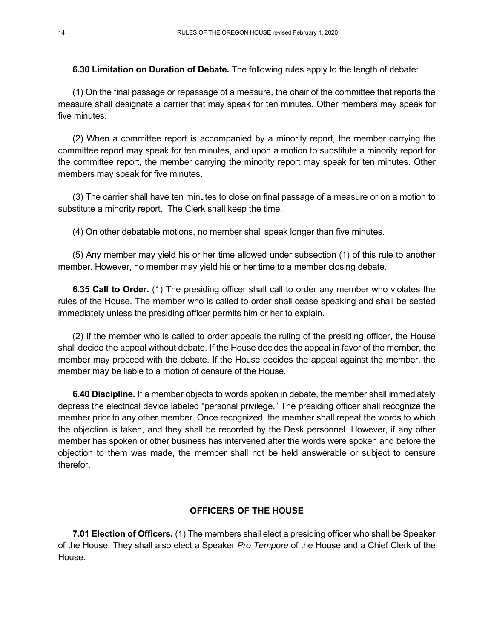**6.30 Limitation on Duration of Debate.** The following rules apply to the length of debate:

(1) On the final passage or repassage of a measure, the chair of the committee that reports the measure shall designate a carrier that may speak for ten minutes. Other members may speak for five minutes.

(2) When a committee report is accompanied by a minority report, the member carrying the committee report may speak for ten minutes, and upon a motion to substitute a minority report for the committee report, the member carrying the minority report may speak for ten minutes. Other members may speak for five minutes.

(3) The carrier shall have ten minutes to close on final passage of a measure or on a motion to substitute a minority report. The Clerk shall keep the time.

(4) On other debatable motions, no member shall speak longer than five minutes.

(5) Any member may yield his or her time allowed under subsection (1) of this rule to another member. However, no member may yield his or her time to a member closing debate.

**6.35 Call to Order.** (1) The presiding officer shall call to order any member who violates the rules of the House. The member who is called to order shall cease speaking and shall be seated immediately unless the presiding officer permits him or her to explain.

(2) If the member who is called to order appeals the ruling of the presiding officer, the House shall decide the appeal without debate. If the House decides the appeal in favor of the member, the member may proceed with the debate. If the House decides the appeal against the member, the member may be liable to a motion of censure of the House.

**6.40 Discipline.** If a member objects to words spoken in debate, the member shall immediately depress the electrical device labeled "personal privilege." The presiding officer shall recognize the member prior to any other member. Once recognized, the member shall repeat the words to which the objection is taken, and they shall be recorded by the Desk personnel. However, if any other member has spoken or other business has intervened after the words were spoken and before the objection to them was made, the member shall not be held answerable or subject to censure therefor.

## **OFFICERS OF THE HOUSE**

**7.01 Election of Officers.** (1) The members shall elect a presiding officer who shall be Speaker of the House. They shall also elect a Speaker *Pro Tempore* of the House and a Chief Clerk of the House.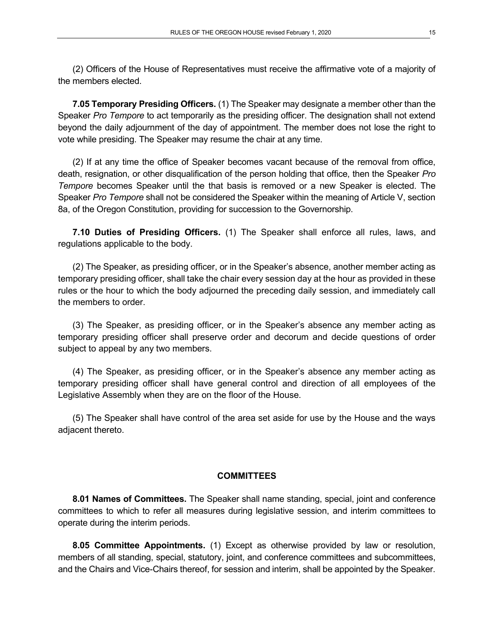(2) Officers of the House of Representatives must receive the affirmative vote of a majority of the members elected.

**7.05 Temporary Presiding Officers.** (1) The Speaker may designate a member other than the Speaker *Pro Tempore* to act temporarily as the presiding officer. The designation shall not extend beyond the daily adjournment of the day of appointment. The member does not lose the right to vote while presiding. The Speaker may resume the chair at any time.

(2) If at any time the office of Speaker becomes vacant because of the removal from office, death, resignation, or other disqualification of the person holding that office, then the Speaker *Pro Tempore* becomes Speaker until the that basis is removed or a new Speaker is elected. The Speaker *Pro Tempore* shall not be considered the Speaker within the meaning of Article V, section 8a, of the Oregon Constitution, providing for succession to the Governorship.

**7.10 Duties of Presiding Officers.** (1) The Speaker shall enforce all rules, laws, and regulations applicable to the body.

(2) The Speaker, as presiding officer, or in the Speaker's absence, another member acting as temporary presiding officer, shall take the chair every session day at the hour as provided in these rules or the hour to which the body adjourned the preceding daily session, and immediately call the members to order.

(3) The Speaker, as presiding officer, or in the Speaker's absence any member acting as temporary presiding officer shall preserve order and decorum and decide questions of order subject to appeal by any two members.

(4) The Speaker, as presiding officer, or in the Speaker's absence any member acting as temporary presiding officer shall have general control and direction of all employees of the Legislative Assembly when they are on the floor of the House.

(5) The Speaker shall have control of the area set aside for use by the House and the ways adjacent thereto.

#### **COMMITTEES**

**8.01 Names of Committees.** The Speaker shall name standing, special, joint and conference committees to which to refer all measures during legislative session, and interim committees to operate during the interim periods.

**8.05 Committee Appointments.** (1) Except as otherwise provided by law or resolution, members of all standing, special, statutory, joint, and conference committees and subcommittees, and the Chairs and Vice-Chairs thereof, for session and interim, shall be appointed by the Speaker.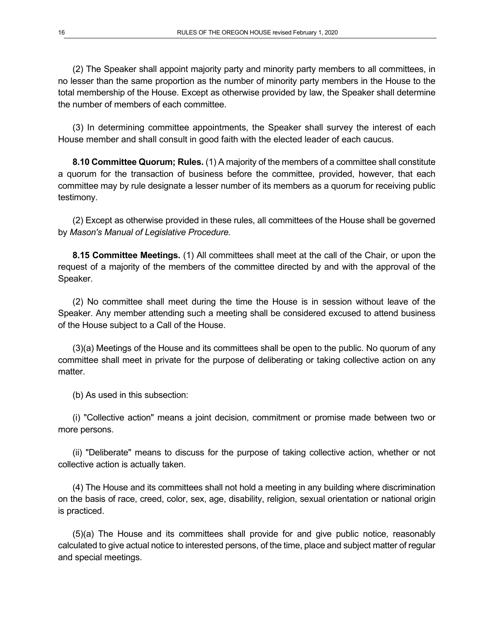(2) The Speaker shall appoint majority party and minority party members to all committees, in no lesser than the same proportion as the number of minority party members in the House to the total membership of the House. Except as otherwise provided by law, the Speaker shall determine the number of members of each committee.

(3) In determining committee appointments, the Speaker shall survey the interest of each House member and shall consult in good faith with the elected leader of each caucus.

**8.10 Committee Quorum; Rules.** (1) A majority of the members of a committee shall constitute a quorum for the transaction of business before the committee, provided, however, that each committee may by rule designate a lesser number of its members as a quorum for receiving public testimony.

(2) Except as otherwise provided in these rules, all committees of the House shall be governed by *Mason's Manual of Legislative Procedure.*

**8.15 Committee Meetings.** (1) All committees shall meet at the call of the Chair, or upon the request of a majority of the members of the committee directed by and with the approval of the Speaker.

(2) No committee shall meet during the time the House is in session without leave of the Speaker. Any member attending such a meeting shall be considered excused to attend business of the House subject to a Call of the House.

(3)(a) Meetings of the House and its committees shall be open to the public. No quorum of any committee shall meet in private for the purpose of deliberating or taking collective action on any matter.

(b) As used in this subsection:

(i) "Collective action" means a joint decision, commitment or promise made between two or more persons.

(ii) "Deliberate" means to discuss for the purpose of taking collective action, whether or not collective action is actually taken.

(4) The House and its committees shall not hold a meeting in any building where discrimination on the basis of race, creed, color, sex, age, disability, religion, sexual orientation or national origin is practiced.

(5)(a) The House and its committees shall provide for and give public notice, reasonably calculated to give actual notice to interested persons, of the time, place and subject matter of regular and special meetings.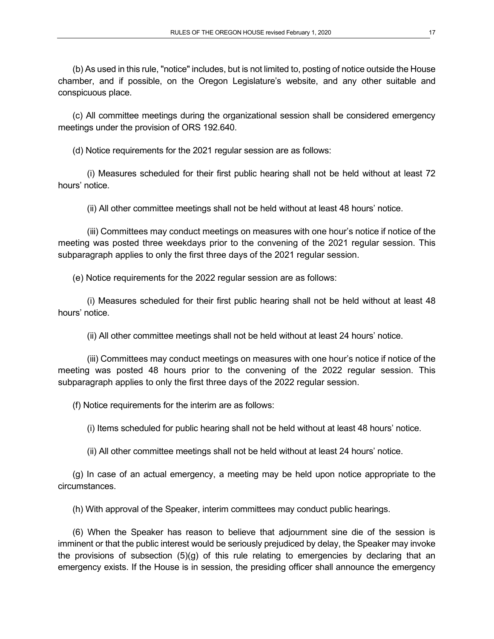(b) As used in this rule, "notice" includes, but is not limited to, posting of notice outside the House chamber, and if possible, on the Oregon Legislature's website, and any other suitable and conspicuous place.

(c) All committee meetings during the organizational session shall be considered emergency meetings under the provision of ORS 192.640.

(d) Notice requirements for the 2021 regular session are as follows:

(i) Measures scheduled for their first public hearing shall not be held without at least 72 hours' notice.

(ii) All other committee meetings shall not be held without at least 48 hours' notice.

(iii) Committees may conduct meetings on measures with one hour's notice if notice of the meeting was posted three weekdays prior to the convening of the 2021 regular session. This subparagraph applies to only the first three days of the 2021 regular session.

(e) Notice requirements for the 2022 regular session are as follows:

(i) Measures scheduled for their first public hearing shall not be held without at least 48 hours' notice.

(ii) All other committee meetings shall not be held without at least 24 hours' notice.

(iii) Committees may conduct meetings on measures with one hour's notice if notice of the meeting was posted 48 hours prior to the convening of the 2022 regular session. This subparagraph applies to only the first three days of the 2022 regular session.

(f) Notice requirements for the interim are as follows:

(i) Items scheduled for public hearing shall not be held without at least 48 hours' notice.

(ii) All other committee meetings shall not be held without at least 24 hours' notice.

(g) In case of an actual emergency, a meeting may be held upon notice appropriate to the circumstances.

(h) With approval of the Speaker, interim committees may conduct public hearings.

(6) When the Speaker has reason to believe that adjournment sine die of the session is imminent or that the public interest would be seriously prejudiced by delay, the Speaker may invoke the provisions of subsection (5)(g) of this rule relating to emergencies by declaring that an emergency exists. If the House is in session, the presiding officer shall announce the emergency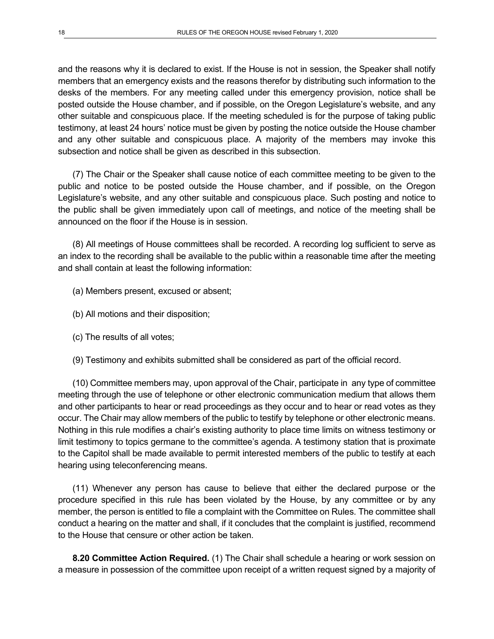and the reasons why it is declared to exist. If the House is not in session, the Speaker shall notify members that an emergency exists and the reasons therefor by distributing such information to the desks of the members. For any meeting called under this emergency provision, notice shall be posted outside the House chamber, and if possible, on the Oregon Legislature's website, and any other suitable and conspicuous place. If the meeting scheduled is for the purpose of taking public testimony, at least 24 hours' notice must be given by posting the notice outside the House chamber and any other suitable and conspicuous place. A majority of the members may invoke this subsection and notice shall be given as described in this subsection.

(7) The Chair or the Speaker shall cause notice of each committee meeting to be given to the public and notice to be posted outside the House chamber, and if possible, on the Oregon Legislature's website, and any other suitable and conspicuous place. Such posting and notice to the public shall be given immediately upon call of meetings, and notice of the meeting shall be announced on the floor if the House is in session.

(8) All meetings of House committees shall be recorded. A recording log sufficient to serve as an index to the recording shall be available to the public within a reasonable time after the meeting and shall contain at least the following information:

- (a) Members present, excused or absent;
- (b) All motions and their disposition;
- (c) The results of all votes;
- (9) Testimony and exhibits submitted shall be considered as part of the official record.

(10) Committee members may, upon approval of the Chair, participate in any type of committee meeting through the use of telephone or other electronic communication medium that allows them and other participants to hear or read proceedings as they occur and to hear or read votes as they occur. The Chair may allow members of the public to testify by telephone or other electronic means. Nothing in this rule modifies a chair's existing authority to place time limits on witness testimony or limit testimony to topics germane to the committee's agenda. A testimony station that is proximate to the Capitol shall be made available to permit interested members of the public to testify at each hearing using teleconferencing means.

(11) Whenever any person has cause to believe that either the declared purpose or the procedure specified in this rule has been violated by the House, by any committee or by any member, the person is entitled to file a complaint with the Committee on Rules. The committee shall conduct a hearing on the matter and shall, if it concludes that the complaint is justified, recommend to the House that censure or other action be taken.

**8.20 Committee Action Required.** (1) The Chair shall schedule a hearing or work session on a measure in possession of the committee upon receipt of a written request signed by a majority of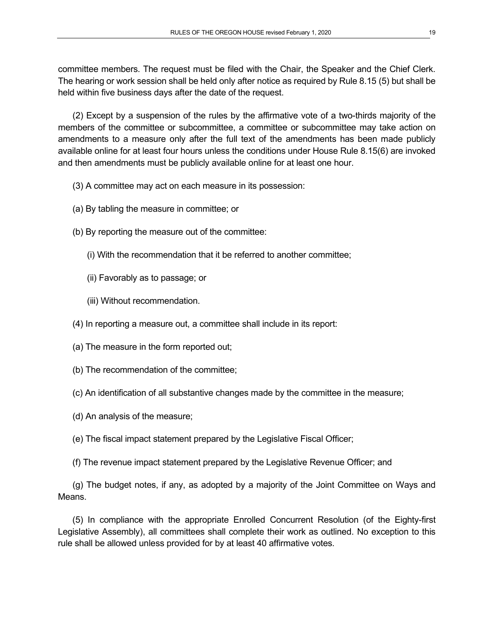committee members. The request must be filed with the Chair, the Speaker and the Chief Clerk. The hearing or work session shall be held only after notice as required by Rule 8.15 (5) but shall be held within five business days after the date of the request.

(2) Except by a suspension of the rules by the affirmative vote of a two-thirds majority of the members of the committee or subcommittee, a committee or subcommittee may take action on amendments to a measure only after the full text of the amendments has been made publicly available online for at least four hours unless the conditions under House Rule 8.15(6) are invoked and then amendments must be publicly available online for at least one hour.

- (3) A committee may act on each measure in its possession:
- (a) By tabling the measure in committee; or
- (b) By reporting the measure out of the committee:
	- (i) With the recommendation that it be referred to another committee;
	- (ii) Favorably as to passage; or
	- (iii) Without recommendation.
- (4) In reporting a measure out, a committee shall include in its report:
- (a) The measure in the form reported out;
- (b) The recommendation of the committee;
- (c) An identification of all substantive changes made by the committee in the measure;
- (d) An analysis of the measure;
- (e) The fiscal impact statement prepared by the Legislative Fiscal Officer;
- (f) The revenue impact statement prepared by the Legislative Revenue Officer; and

(g) The budget notes, if any, as adopted by a majority of the Joint Committee on Ways and Means.

(5) In compliance with the appropriate Enrolled Concurrent Resolution (of the Eighty-first Legislative Assembly), all committees shall complete their work as outlined. No exception to this rule shall be allowed unless provided for by at least 40 affirmative votes.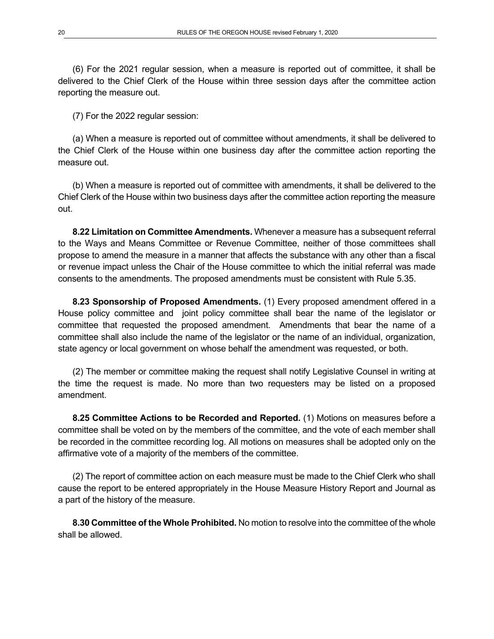(6) For the 2021 regular session, when a measure is reported out of committee, it shall be delivered to the Chief Clerk of the House within three session days after the committee action reporting the measure out.

(7) For the 2022 regular session:

(a) When a measure is reported out of committee without amendments, it shall be delivered to the Chief Clerk of the House within one business day after the committee action reporting the measure out.

(b) When a measure is reported out of committee with amendments, it shall be delivered to the Chief Clerk of the House within two business days after the committee action reporting the measure out.

**8.22 Limitation on Committee Amendments.** Whenever a measure has a subsequent referral to the Ways and Means Committee or Revenue Committee, neither of those committees shall propose to amend the measure in a manner that affects the substance with any other than a fiscal or revenue impact unless the Chair of the House committee to which the initial referral was made consents to the amendments. The proposed amendments must be consistent with Rule 5.35.

**8.23 Sponsorship of Proposed Amendments.** (1) Every proposed amendment offered in a House policy committee and joint policy committee shall bear the name of the legislator or committee that requested the proposed amendment. Amendments that bear the name of a committee shall also include the name of the legislator or the name of an individual, organization, state agency or local government on whose behalf the amendment was requested, or both.

(2) The member or committee making the request shall notify Legislative Counsel in writing at the time the request is made. No more than two requesters may be listed on a proposed amendment.

**8.25 Committee Actions to be Recorded and Reported.** (1) Motions on measures before a committee shall be voted on by the members of the committee, and the vote of each member shall be recorded in the committee recording log. All motions on measures shall be adopted only on the affirmative vote of a majority of the members of the committee.

(2) The report of committee action on each measure must be made to the Chief Clerk who shall cause the report to be entered appropriately in the House Measure History Report and Journal as a part of the history of the measure.

**8.30 Committee of the Whole Prohibited.** No motion to resolve into the committee of the whole shall be allowed.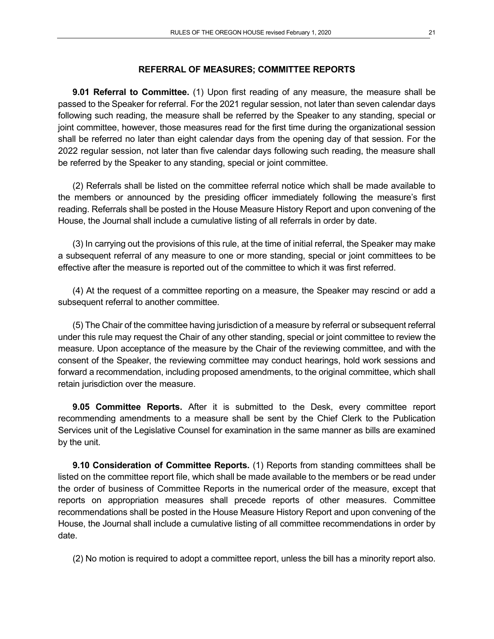#### **REFERRAL OF MEASURES; COMMITTEE REPORTS**

**9.01 Referral to Committee.** (1) Upon first reading of any measure, the measure shall be passed to the Speaker for referral. For the 2021 regular session, not later than seven calendar days following such reading, the measure shall be referred by the Speaker to any standing, special or joint committee, however, those measures read for the first time during the organizational session shall be referred no later than eight calendar days from the opening day of that session. For the 2022 regular session, not later than five calendar days following such reading, the measure shall be referred by the Speaker to any standing, special or joint committee.

(2) Referrals shall be listed on the committee referral notice which shall be made available to the members or announced by the presiding officer immediately following the measure's first reading. Referrals shall be posted in the House Measure History Report and upon convening of the House, the Journal shall include a cumulative listing of all referrals in order by date.

(3) In carrying out the provisions of this rule, at the time of initial referral, the Speaker may make a subsequent referral of any measure to one or more standing, special or joint committees to be effective after the measure is reported out of the committee to which it was first referred.

(4) At the request of a committee reporting on a measure, the Speaker may rescind or add a subsequent referral to another committee.

(5) The Chair of the committee having jurisdiction of a measure by referral or subsequent referral under this rule may request the Chair of any other standing, special or joint committee to review the measure. Upon acceptance of the measure by the Chair of the reviewing committee, and with the consent of the Speaker, the reviewing committee may conduct hearings, hold work sessions and forward a recommendation, including proposed amendments, to the original committee, which shall retain jurisdiction over the measure.

**9.05 Committee Reports.** After it is submitted to the Desk, every committee report recommending amendments to a measure shall be sent by the Chief Clerk to the Publication Services unit of the Legislative Counsel for examination in the same manner as bills are examined by the unit.

**9.10 Consideration of Committee Reports.** (1) Reports from standing committees shall be listed on the committee report file, which shall be made available to the members or be read under the order of business of Committee Reports in the numerical order of the measure, except that reports on appropriation measures shall precede reports of other measures. Committee recommendations shall be posted in the House Measure History Report and upon convening of the House, the Journal shall include a cumulative listing of all committee recommendations in order by date.

(2) No motion is required to adopt a committee report, unless the bill has a minority report also.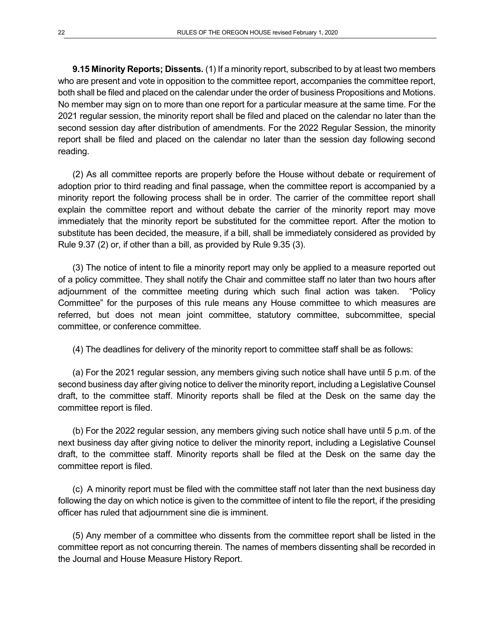**9.15 Minority Reports; Dissents.** (1) If a minority report, subscribed to by at least two members who are present and vote in opposition to the committee report, accompanies the committee report, both shall be filed and placed on the calendar under the order of business Propositions and Motions. No member may sign on to more than one report for a particular measure at the same time. For the 2021 regular session, the minority report shall be filed and placed on the calendar no later than the second session day after distribution of amendments. For the 2022 Regular Session, the minority report shall be filed and placed on the calendar no later than the session day following second reading.

(2) As all committee reports are properly before the House without debate or requirement of adoption prior to third reading and final passage, when the committee report is accompanied by a minority report the following process shall be in order. The carrier of the committee report shall explain the committee report and without debate the carrier of the minority report may move immediately that the minority report be substituted for the committee report. After the motion to substitute has been decided, the measure, if a bill, shall be immediately considered as provided by Rule 9.37 (2) or, if other than a bill, as provided by Rule 9.35 (3).

(3) The notice of intent to file a minority report may only be applied to a measure reported out of a policy committee. They shall notify the Chair and committee staff no later than two hours after adjournment of the committee meeting during which such final action was taken. "Policy Committee" for the purposes of this rule means any House committee to which measures are referred, but does not mean joint committee, statutory committee, subcommittee, special committee, or conference committee.

(4) The deadlines for delivery of the minority report to committee staff shall be as follows:

(a) For the 2021 regular session, any members giving such notice shall have until 5 p.m. of the second business day after giving notice to deliver the minority report, including a Legislative Counsel draft, to the committee staff. Minority reports shall be filed at the Desk on the same day the committee report is filed.

(b) For the 2022 regular session, any members giving such notice shall have until 5 p.m. of the next business day after giving notice to deliver the minority report, including a Legislative Counsel draft, to the committee staff. Minority reports shall be filed at the Desk on the same day the committee report is filed.

(c) A minority report must be filed with the committee staff not later than the next business day following the day on which notice is given to the committee of intent to file the report, if the presiding officer has ruled that adjournment sine die is imminent.

(5) Any member of a committee who dissents from the committee report shall be listed in the committee report as not concurring therein. The names of members dissenting shall be recorded in the Journal and House Measure History Report.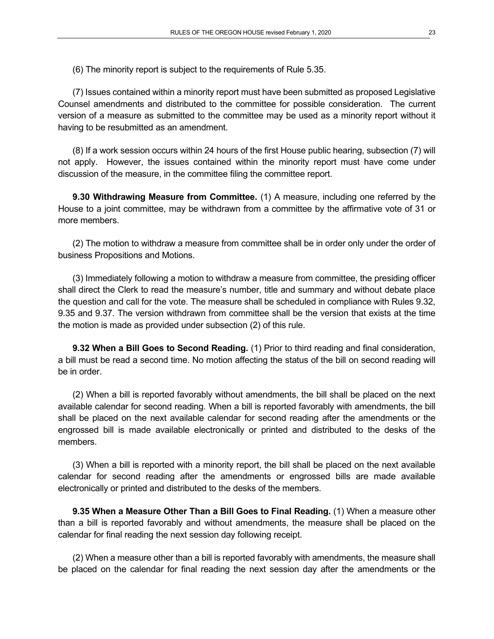(6) The minority report is subject to the requirements of Rule 5.35.

(7) Issues contained within a minority report must have been submitted as proposed Legislative Counsel amendments and distributed to the committee for possible consideration. The current version of a measure as submitted to the committee may be used as a minority report without it having to be resubmitted as an amendment.

(8) If a work session occurs within 24 hours of the first House public hearing, subsection (7) will not apply. However, the issues contained within the minority report must have come under discussion of the measure, in the committee filing the committee report.

**9.30 Withdrawing Measure from Committee.** (1) A measure, including one referred by the House to a joint committee, may be withdrawn from a committee by the affirmative vote of 31 or more members.

(2) The motion to withdraw a measure from committee shall be in order only under the order of business Propositions and Motions.

(3) Immediately following a motion to withdraw a measure from committee, the presiding officer shall direct the Clerk to read the measure's number, title and summary and without debate place the question and call for the vote. The measure shall be scheduled in compliance with Rules 9.32, 9.35 and 9.37. The version withdrawn from committee shall be the version that exists at the time the motion is made as provided under subsection (2) of this rule.

**9.32 When a Bill Goes to Second Reading.** (1) Prior to third reading and final consideration, a bill must be read a second time. No motion affecting the status of the bill on second reading will be in order.

(2) When a bill is reported favorably without amendments, the bill shall be placed on the next available calendar for second reading. When a bill is reported favorably with amendments, the bill shall be placed on the next available calendar for second reading after the amendments or the engrossed bill is made available electronically or printed and distributed to the desks of the members.

(3) When a bill is reported with a minority report, the bill shall be placed on the next available calendar for second reading after the amendments or engrossed bills are made available electronically or printed and distributed to the desks of the members.

**9.35 When a Measure Other Than a Bill Goes to Final Reading.** (1) When a measure other than a bill is reported favorably and without amendments, the measure shall be placed on the calendar for final reading the next session day following receipt.

(2) When a measure other than a bill is reported favorably with amendments, the measure shall be placed on the calendar for final reading the next session day after the amendments or the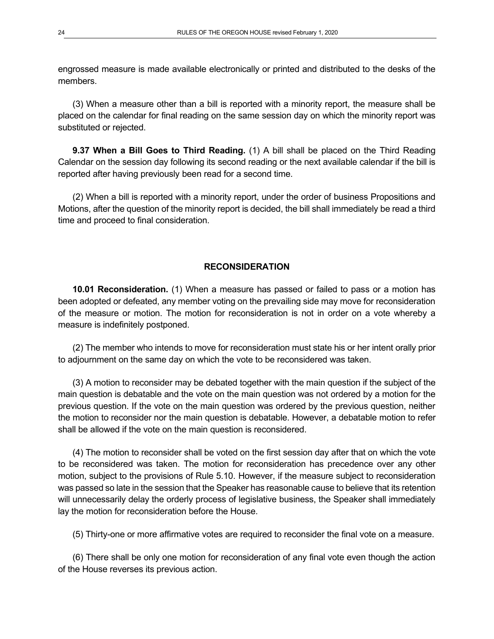engrossed measure is made available electronically or printed and distributed to the desks of the members.

(3) When a measure other than a bill is reported with a minority report, the measure shall be placed on the calendar for final reading on the same session day on which the minority report was substituted or rejected.

**9.37 When a Bill Goes to Third Reading.** (1) A bill shall be placed on the Third Reading Calendar on the session day following its second reading or the next available calendar if the bill is reported after having previously been read for a second time.

(2) When a bill is reported with a minority report, under the order of business Propositions and Motions, after the question of the minority report is decided, the bill shall immediately be read a third time and proceed to final consideration.

## **RECONSIDERATION**

**10.01 Reconsideration.** (1) When a measure has passed or failed to pass or a motion has been adopted or defeated, any member voting on the prevailing side may move for reconsideration of the measure or motion. The motion for reconsideration is not in order on a vote whereby a measure is indefinitely postponed.

(2) The member who intends to move for reconsideration must state his or her intent orally prior to adjournment on the same day on which the vote to be reconsidered was taken.

(3) A motion to reconsider may be debated together with the main question if the subject of the main question is debatable and the vote on the main question was not ordered by a motion for the previous question. If the vote on the main question was ordered by the previous question, neither the motion to reconsider nor the main question is debatable. However, a debatable motion to refer shall be allowed if the vote on the main question is reconsidered.

(4) The motion to reconsider shall be voted on the first session day after that on which the vote to be reconsidered was taken. The motion for reconsideration has precedence over any other motion, subject to the provisions of Rule 5.10. However, if the measure subject to reconsideration was passed so late in the session that the Speaker has reasonable cause to believe that its retention will unnecessarily delay the orderly process of legislative business, the Speaker shall immediately lay the motion for reconsideration before the House.

(5) Thirty-one or more affirmative votes are required to reconsider the final vote on a measure.

(6) There shall be only one motion for reconsideration of any final vote even though the action of the House reverses its previous action.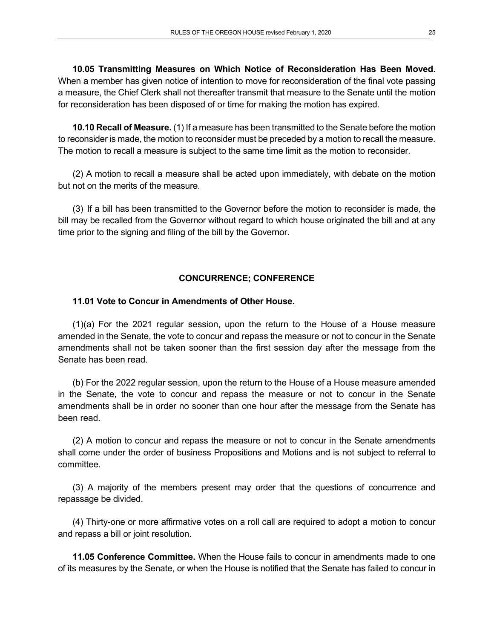**10.05 Transmitting Measures on Which Notice of Reconsideration Has Been Moved.** When a member has given notice of intention to move for reconsideration of the final vote passing a measure, the Chief Clerk shall not thereafter transmit that measure to the Senate until the motion for reconsideration has been disposed of or time for making the motion has expired.

**10.10 Recall of Measure.** (1) If a measure has been transmitted to the Senate before the motion to reconsider is made, the motion to reconsider must be preceded by a motion to recall the measure. The motion to recall a measure is subject to the same time limit as the motion to reconsider.

(2) A motion to recall a measure shall be acted upon immediately, with debate on the motion but not on the merits of the measure.

(3) If a bill has been transmitted to the Governor before the motion to reconsider is made, the bill may be recalled from the Governor without regard to which house originated the bill and at any time prior to the signing and filing of the bill by the Governor.

## **CONCURRENCE; CONFERENCE**

## **11.01 Vote to Concur in Amendments of Other House.**

(1)(a) For the 2021 regular session, upon the return to the House of a House measure amended in the Senate, the vote to concur and repass the measure or not to concur in the Senate amendments shall not be taken sooner than the first session day after the message from the Senate has been read.

(b) For the 2022 regular session, upon the return to the House of a House measure amended in the Senate, the vote to concur and repass the measure or not to concur in the Senate amendments shall be in order no sooner than one hour after the message from the Senate has been read.

(2) A motion to concur and repass the measure or not to concur in the Senate amendments shall come under the order of business Propositions and Motions and is not subject to referral to committee.

(3) A majority of the members present may order that the questions of concurrence and repassage be divided.

(4) Thirty-one or more affirmative votes on a roll call are required to adopt a motion to concur and repass a bill or joint resolution.

**11.05 Conference Committee.** When the House fails to concur in amendments made to one of its measures by the Senate, or when the House is notified that the Senate has failed to concur in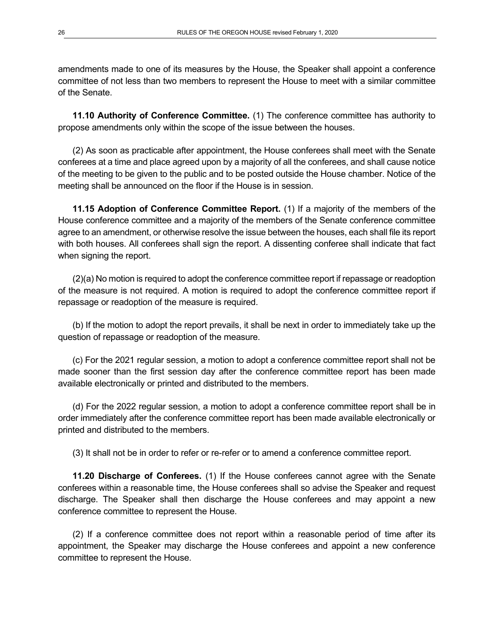amendments made to one of its measures by the House, the Speaker shall appoint a conference committee of not less than two members to represent the House to meet with a similar committee of the Senate.

**11.10 Authority of Conference Committee.** (1) The conference committee has authority to propose amendments only within the scope of the issue between the houses.

(2) As soon as practicable after appointment, the House conferees shall meet with the Senate conferees at a time and place agreed upon by a majority of all the conferees, and shall cause notice of the meeting to be given to the public and to be posted outside the House chamber. Notice of the meeting shall be announced on the floor if the House is in session.

**11.15 Adoption of Conference Committee Report.** (1) If a majority of the members of the House conference committee and a majority of the members of the Senate conference committee agree to an amendment, or otherwise resolve the issue between the houses, each shall file its report with both houses. All conferees shall sign the report. A dissenting conferee shall indicate that fact when signing the report.

(2)(a) No motion is required to adopt the conference committee report if repassage or readoption of the measure is not required. A motion is required to adopt the conference committee report if repassage or readoption of the measure is required.

(b) If the motion to adopt the report prevails, it shall be next in order to immediately take up the question of repassage or readoption of the measure.

(c) For the 2021 regular session, a motion to adopt a conference committee report shall not be made sooner than the first session day after the conference committee report has been made available electronically or printed and distributed to the members.

(d) For the 2022 regular session, a motion to adopt a conference committee report shall be in order immediately after the conference committee report has been made available electronically or printed and distributed to the members.

(3) It shall not be in order to refer or re-refer or to amend a conference committee report.

**11.20 Discharge of Conferees.** (1) If the House conferees cannot agree with the Senate conferees within a reasonable time, the House conferees shall so advise the Speaker and request discharge. The Speaker shall then discharge the House conferees and may appoint a new conference committee to represent the House.

(2) If a conference committee does not report within a reasonable period of time after its appointment, the Speaker may discharge the House conferees and appoint a new conference committee to represent the House.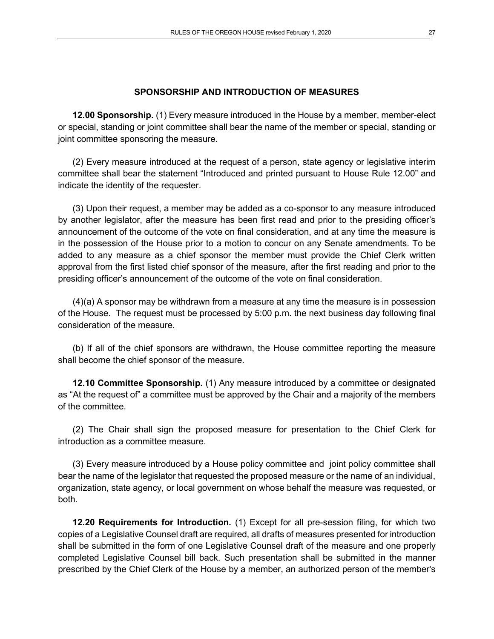#### **SPONSORSHIP AND INTRODUCTION OF MEASURES**

**12.00 Sponsorship.** (1) Every measure introduced in the House by a member, member-elect or special, standing or joint committee shall bear the name of the member or special, standing or joint committee sponsoring the measure.

(2) Every measure introduced at the request of a person, state agency or legislative interim committee shall bear the statement "Introduced and printed pursuant to House Rule 12.00" and indicate the identity of the requester.

(3) Upon their request, a member may be added as a co-sponsor to any measure introduced by another legislator, after the measure has been first read and prior to the presiding officer's announcement of the outcome of the vote on final consideration, and at any time the measure is in the possession of the House prior to a motion to concur on any Senate amendments. To be added to any measure as a chief sponsor the member must provide the Chief Clerk written approval from the first listed chief sponsor of the measure, after the first reading and prior to the presiding officer's announcement of the outcome of the vote on final consideration.

(4)(a) A sponsor may be withdrawn from a measure at any time the measure is in possession of the House. The request must be processed by 5:00 p.m. the next business day following final consideration of the measure.

(b) If all of the chief sponsors are withdrawn, the House committee reporting the measure shall become the chief sponsor of the measure.

**12.10 Committee Sponsorship.** (1) Any measure introduced by a committee or designated as "At the request of" a committee must be approved by the Chair and a majority of the members of the committee.

(2) The Chair shall sign the proposed measure for presentation to the Chief Clerk for introduction as a committee measure.

(3) Every measure introduced by a House policy committee and joint policy committee shall bear the name of the legislator that requested the proposed measure or the name of an individual, organization, state agency, or local government on whose behalf the measure was requested, or both.

**12.20 Requirements for Introduction.** (1) Except for all pre-session filing, for which two copies of a Legislative Counsel draft are required, all drafts of measures presented for introduction shall be submitted in the form of one Legislative Counsel draft of the measure and one properly completed Legislative Counsel bill back. Such presentation shall be submitted in the manner prescribed by the Chief Clerk of the House by a member, an authorized person of the member's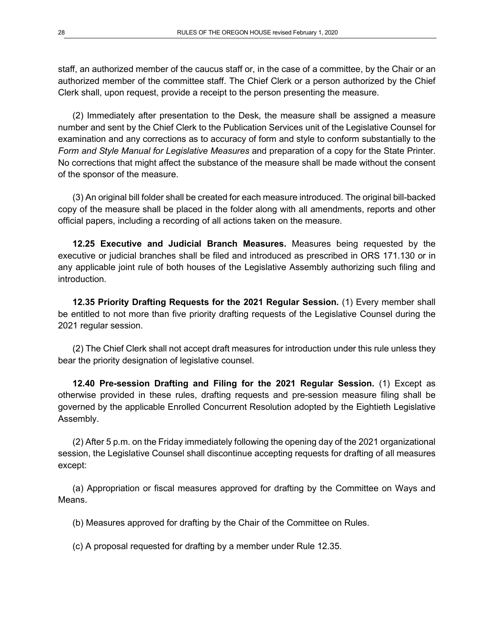staff, an authorized member of the caucus staff or, in the case of a committee, by the Chair or an authorized member of the committee staff. The Chief Clerk or a person authorized by the Chief Clerk shall, upon request, provide a receipt to the person presenting the measure.

(2) Immediately after presentation to the Desk, the measure shall be assigned a measure number and sent by the Chief Clerk to the Publication Services unit of the Legislative Counsel for examination and any corrections as to accuracy of form and style to conform substantially to the *Form and Style Manual for Legislative Measures* and preparation of a copy for the State Printer. No corrections that might affect the substance of the measure shall be made without the consent of the sponsor of the measure.

(3) An original bill folder shall be created for each measure introduced. The original bill-backed copy of the measure shall be placed in the folder along with all amendments, reports and other official papers, including a recording of all actions taken on the measure.

**12.25 Executive and Judicial Branch Measures.** Measures being requested by the executive or judicial branches shall be filed and introduced as prescribed in ORS 171.130 or in any applicable joint rule of both houses of the Legislative Assembly authorizing such filing and introduction.

**12.35 Priority Drafting Requests for the 2021 Regular Session.** (1) Every member shall be entitled to not more than five priority drafting requests of the Legislative Counsel during the 2021 regular session.

(2) The Chief Clerk shall not accept draft measures for introduction under this rule unless they bear the priority designation of legislative counsel.

**12.40 Pre-session Drafting and Filing for the 2021 Regular Session.** (1) Except as otherwise provided in these rules, drafting requests and pre-session measure filing shall be governed by the applicable Enrolled Concurrent Resolution adopted by the Eightieth Legislative Assembly.

(2) After 5 p.m. on the Friday immediately following the opening day of the 2021 organizational session, the Legislative Counsel shall discontinue accepting requests for drafting of all measures except:

(a) Appropriation or fiscal measures approved for drafting by the Committee on Ways and Means.

(b) Measures approved for drafting by the Chair of the Committee on Rules.

(c) A proposal requested for drafting by a member under Rule 12.35.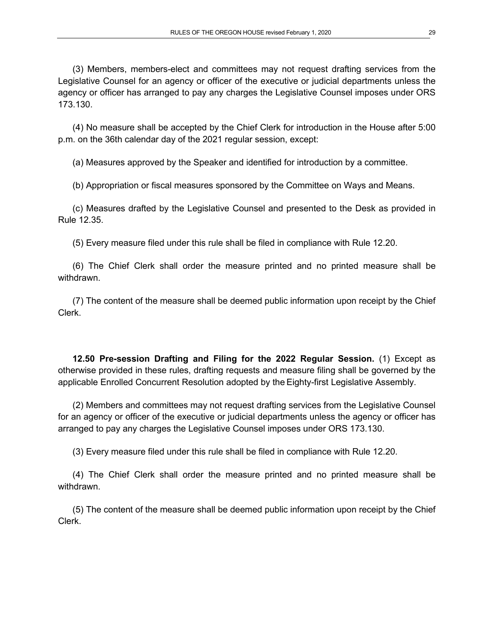(3) Members, members-elect and committees may not request drafting services from the Legislative Counsel for an agency or officer of the executive or judicial departments unless the agency or officer has arranged to pay any charges the Legislative Counsel imposes under ORS 173.130.

(4) No measure shall be accepted by the Chief Clerk for introduction in the House after 5:00 p.m. on the 36th calendar day of the 2021 regular session, except:

(a) Measures approved by the Speaker and identified for introduction by a committee.

(b) Appropriation or fiscal measures sponsored by the Committee on Ways and Means.

(c) Measures drafted by the Legislative Counsel and presented to the Desk as provided in Rule 12.35.

(5) Every measure filed under this rule shall be filed in compliance with Rule 12.20.

(6) The Chief Clerk shall order the measure printed and no printed measure shall be withdrawn.

(7) The content of the measure shall be deemed public information upon receipt by the Chief Clerk.

**12.50 Pre-session Drafting and Filing for the 2022 Regular Session.** (1) Except as otherwise provided in these rules, drafting requests and measure filing shall be governed by the applicable Enrolled Concurrent Resolution adopted by the Eighty-first Legislative Assembly.

(2) Members and committees may not request drafting services from the Legislative Counsel for an agency or officer of the executive or judicial departments unless the agency or officer has arranged to pay any charges the Legislative Counsel imposes under ORS 173.130.

(3) Every measure filed under this rule shall be filed in compliance with Rule 12.20.

(4) The Chief Clerk shall order the measure printed and no printed measure shall be withdrawn.

(5) The content of the measure shall be deemed public information upon receipt by the Chief Clerk.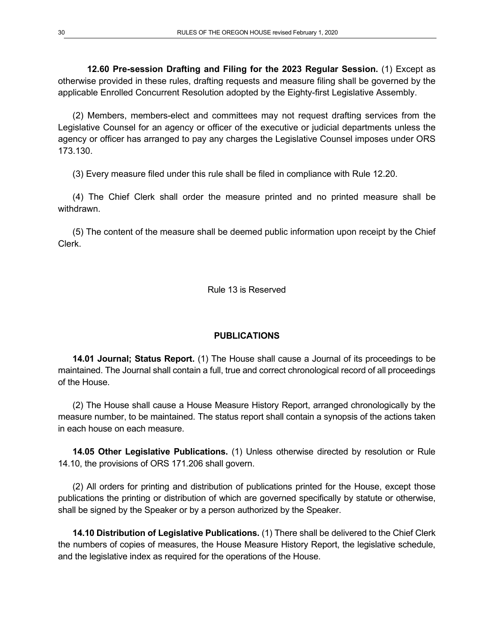**12.60 Pre-session Drafting and Filing for the 2023 Regular Session.** (1) Except as otherwise provided in these rules, drafting requests and measure filing shall be governed by the applicable Enrolled Concurrent Resolution adopted by the Eighty-first Legislative Assembly.

(2) Members, members-elect and committees may not request drafting services from the Legislative Counsel for an agency or officer of the executive or judicial departments unless the agency or officer has arranged to pay any charges the Legislative Counsel imposes under ORS 173.130.

(3) Every measure filed under this rule shall be filed in compliance with Rule 12.20.

(4) The Chief Clerk shall order the measure printed and no printed measure shall be withdrawn.

(5) The content of the measure shall be deemed public information upon receipt by the Chief Clerk.

Rule 13 is Reserved

#### **PUBLICATIONS**

**14.01 Journal; Status Report.** (1) The House shall cause a Journal of its proceedings to be maintained. The Journal shall contain a full, true and correct chronological record of all proceedings of the House.

(2) The House shall cause a House Measure History Report, arranged chronologically by the measure number, to be maintained. The status report shall contain a synopsis of the actions taken in each house on each measure.

**14.05 Other Legislative Publications.** (1) Unless otherwise directed by resolution or Rule 14.10, the provisions of ORS 171.206 shall govern.

(2) All orders for printing and distribution of publications printed for the House, except those publications the printing or distribution of which are governed specifically by statute or otherwise, shall be signed by the Speaker or by a person authorized by the Speaker.

**14.10 Distribution of Legislative Publications.** (1) There shall be delivered to the Chief Clerk the numbers of copies of measures, the House Measure History Report, the legislative schedule, and the legislative index as required for the operations of the House.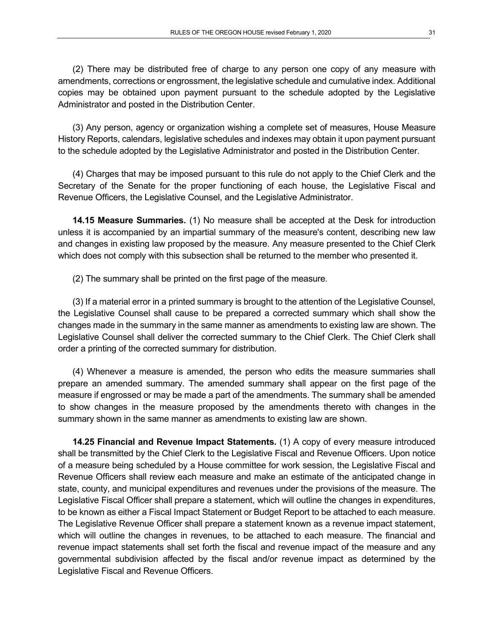(2) There may be distributed free of charge to any person one copy of any measure with amendments, corrections or engrossment, the legislative schedule and cumulative index. Additional copies may be obtained upon payment pursuant to the schedule adopted by the Legislative Administrator and posted in the Distribution Center.

(3) Any person, agency or organization wishing a complete set of measures, House Measure History Reports, calendars, legislative schedules and indexes may obtain it upon payment pursuant to the schedule adopted by the Legislative Administrator and posted in the Distribution Center.

(4) Charges that may be imposed pursuant to this rule do not apply to the Chief Clerk and the Secretary of the Senate for the proper functioning of each house, the Legislative Fiscal and Revenue Officers, the Legislative Counsel, and the Legislative Administrator.

**14.15 Measure Summaries.** (1) No measure shall be accepted at the Desk for introduction unless it is accompanied by an impartial summary of the measure's content, describing new law and changes in existing law proposed by the measure. Any measure presented to the Chief Clerk which does not comply with this subsection shall be returned to the member who presented it.

(2) The summary shall be printed on the first page of the measure.

(3) If a material error in a printed summary is brought to the attention of the Legislative Counsel, the Legislative Counsel shall cause to be prepared a corrected summary which shall show the changes made in the summary in the same manner as amendments to existing law are shown. The Legislative Counsel shall deliver the corrected summary to the Chief Clerk. The Chief Clerk shall order a printing of the corrected summary for distribution.

(4) Whenever a measure is amended, the person who edits the measure summaries shall prepare an amended summary. The amended summary shall appear on the first page of the measure if engrossed or may be made a part of the amendments. The summary shall be amended to show changes in the measure proposed by the amendments thereto with changes in the summary shown in the same manner as amendments to existing law are shown.

**14.25 Financial and Revenue Impact Statements.** (1) A copy of every measure introduced shall be transmitted by the Chief Clerk to the Legislative Fiscal and Revenue Officers. Upon notice of a measure being scheduled by a House committee for work session, the Legislative Fiscal and Revenue Officers shall review each measure and make an estimate of the anticipated change in state, county, and municipal expenditures and revenues under the provisions of the measure. The Legislative Fiscal Officer shall prepare a statement, which will outline the changes in expenditures, to be known as either a Fiscal Impact Statement or Budget Report to be attached to each measure. The Legislative Revenue Officer shall prepare a statement known as a revenue impact statement, which will outline the changes in revenues, to be attached to each measure. The financial and revenue impact statements shall set forth the fiscal and revenue impact of the measure and any governmental subdivision affected by the fiscal and/or revenue impact as determined by the Legislative Fiscal and Revenue Officers.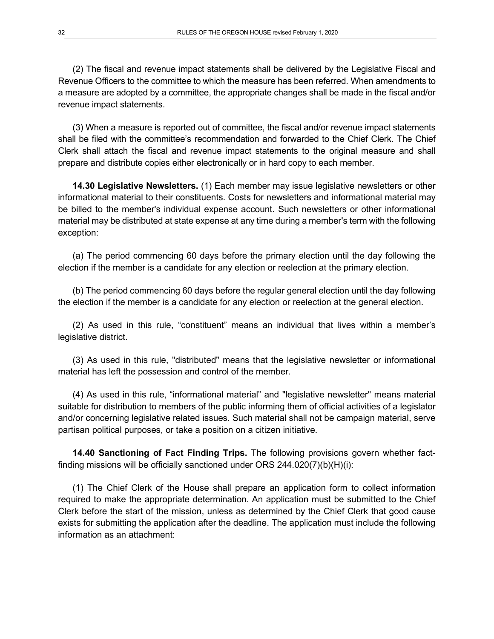(2) The fiscal and revenue impact statements shall be delivered by the Legislative Fiscal and Revenue Officers to the committee to which the measure has been referred. When amendments to a measure are adopted by a committee, the appropriate changes shall be made in the fiscal and/or revenue impact statements.

(3) When a measure is reported out of committee, the fiscal and/or revenue impact statements shall be filed with the committee's recommendation and forwarded to the Chief Clerk. The Chief Clerk shall attach the fiscal and revenue impact statements to the original measure and shall prepare and distribute copies either electronically or in hard copy to each member.

**14.30 Legislative Newsletters.** (1) Each member may issue legislative newsletters or other informational material to their constituents. Costs for newsletters and informational material may be billed to the member's individual expense account. Such newsletters or other informational material may be distributed at state expense at any time during a member's term with the following exception:

(a) The period commencing 60 days before the primary election until the day following the election if the member is a candidate for any election or reelection at the primary election.

(b) The period commencing 60 days before the regular general election until the day following the election if the member is a candidate for any election or reelection at the general election.

(2) As used in this rule, "constituent" means an individual that lives within a member's legislative district.

(3) As used in this rule, "distributed" means that the legislative newsletter or informational material has left the possession and control of the member.

(4) As used in this rule, "informational material" and "legislative newsletter" means material suitable for distribution to members of the public informing them of official activities of a legislator and/or concerning legislative related issues. Such material shall not be campaign material, serve partisan political purposes, or take a position on a citizen initiative.

**14.40 Sanctioning of Fact Finding Trips.** The following provisions govern whether factfinding missions will be officially sanctioned under ORS 244.020(7)(b)(H)(i):

(1) The Chief Clerk of the House shall prepare an application form to collect information required to make the appropriate determination. An application must be submitted to the Chief Clerk before the start of the mission, unless as determined by the Chief Clerk that good cause exists for submitting the application after the deadline. The application must include the following information as an attachment: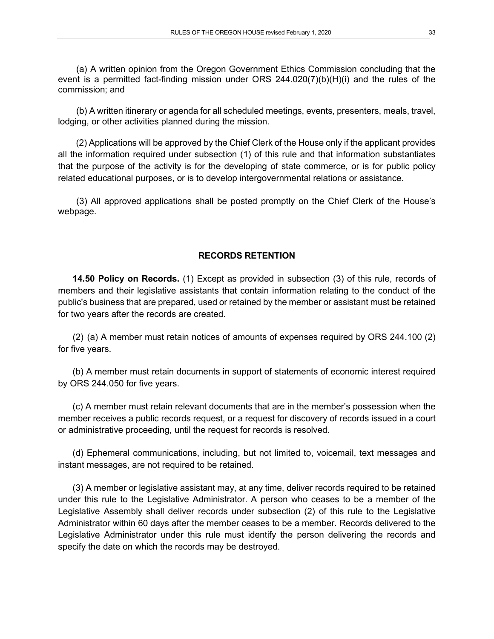(a) A written opinion from the Oregon Government Ethics Commission concluding that the event is a permitted fact-finding mission under ORS 244.020(7)(b)(H)(i) and the rules of the commission; and

(b) A written itinerary or agenda for all scheduled meetings, events, presenters, meals, travel, lodging, or other activities planned during the mission.

(2) Applications will be approved by the Chief Clerk of the House only if the applicant provides all the information required under subsection (1) of this rule and that information substantiates that the purpose of the activity is for the developing of state commerce, or is for public policy related educational purposes, or is to develop intergovernmental relations or assistance.

(3) All approved applications shall be posted promptly on the Chief Clerk of the House's webpage.

#### **RECORDS RETENTION**

**14.50 Policy on Records.** (1) Except as provided in subsection (3) of this rule, records of members and their legislative assistants that contain information relating to the conduct of the public's business that are prepared, used or retained by the member or assistant must be retained for two years after the records are created.

(2) (a) A member must retain notices of amounts of expenses required by ORS 244.100 (2) for five years.

(b) A member must retain documents in support of statements of economic interest required by ORS 244.050 for five years.

(c) A member must retain relevant documents that are in the member's possession when the member receives a public records request, or a request for discovery of records issued in a court or administrative proceeding, until the request for records is resolved.

(d) Ephemeral communications, including, but not limited to, voicemail, text messages and instant messages, are not required to be retained.

(3) A member or legislative assistant may, at any time, deliver records required to be retained under this rule to the Legislative Administrator. A person who ceases to be a member of the Legislative Assembly shall deliver records under subsection (2) of this rule to the Legislative Administrator within 60 days after the member ceases to be a member. Records delivered to the Legislative Administrator under this rule must identify the person delivering the records and specify the date on which the records may be destroyed.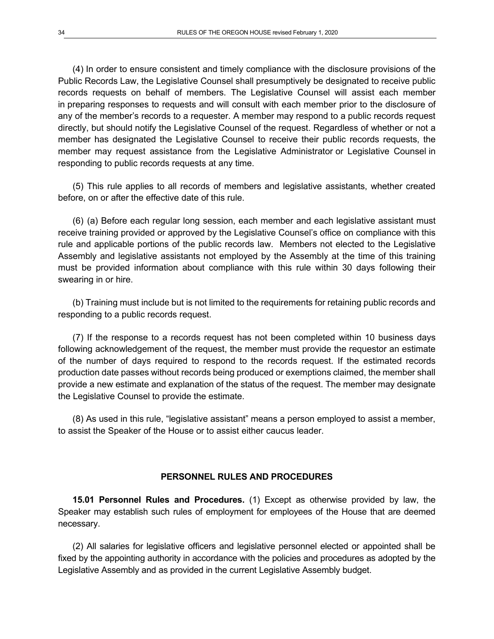(4) In order to ensure consistent and timely compliance with the disclosure provisions of the Public Records Law, the Legislative Counsel shall presumptively be designated to receive public records requests on behalf of members. The Legislative Counsel will assist each member in preparing responses to requests and will consult with each member prior to the disclosure of any of the member's records to a requester. A member may respond to a public records request directly, but should notify the Legislative Counsel of the request. Regardless of whether or not a member has designated the Legislative Counsel to receive their public records requests, the member may request assistance from the Legislative Administrator or Legislative Counsel in responding to public records requests at any time.

(5) This rule applies to all records of members and legislative assistants, whether created before, on or after the effective date of this rule.

(6) (a) Before each regular long session, each member and each legislative assistant must receive training provided or approved by the Legislative Counsel's office on compliance with this rule and applicable portions of the public records law. Members not elected to the Legislative Assembly and legislative assistants not employed by the Assembly at the time of this training must be provided information about compliance with this rule within 30 days following their swearing in or hire.

(b) Training must include but is not limited to the requirements for retaining public records and responding to a public records request.

(7) If the response to a records request has not been completed within 10 business days following acknowledgement of the request, the member must provide the requestor an estimate of the number of days required to respond to the records request. If the estimated records production date passes without records being produced or exemptions claimed, the member shall provide a new estimate and explanation of the status of the request. The member may designate the Legislative Counsel to provide the estimate.

(8) As used in this rule, "legislative assistant" means a person employed to assist a member, to assist the Speaker of the House or to assist either caucus leader.

#### **PERSONNEL RULES AND PROCEDURES**

**15.01 Personnel Rules and Procedures.** (1) Except as otherwise provided by law, the Speaker may establish such rules of employment for employees of the House that are deemed necessary.

(2) All salaries for legislative officers and legislative personnel elected or appointed shall be fixed by the appointing authority in accordance with the policies and procedures as adopted by the Legislative Assembly and as provided in the current Legislative Assembly budget.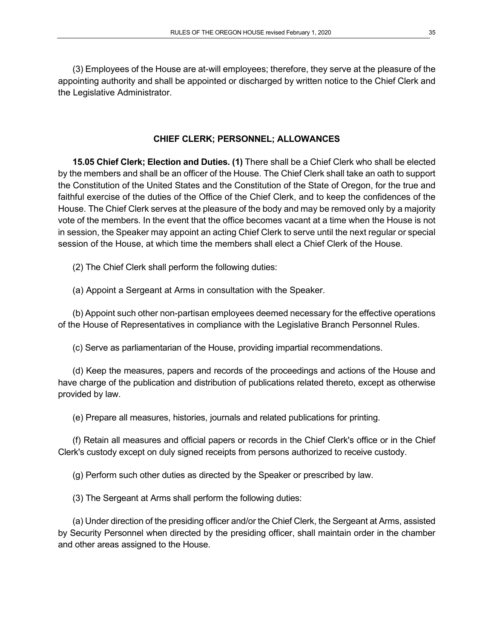(3) Employees of the House are at-will employees; therefore, they serve at the pleasure of the appointing authority and shall be appointed or discharged by written notice to the Chief Clerk and the Legislative Administrator.

## **CHIEF CLERK; PERSONNEL; ALLOWANCES**

**15.05 Chief Clerk; Election and Duties. (1)** There shall be a Chief Clerk who shall be elected by the members and shall be an officer of the House. The Chief Clerk shall take an oath to support the Constitution of the United States and the Constitution of the State of Oregon, for the true and faithful exercise of the duties of the Office of the Chief Clerk, and to keep the confidences of the House. The Chief Clerk serves at the pleasure of the body and may be removed only by a majority vote of the members. In the event that the office becomes vacant at a time when the House is not in session, the Speaker may appoint an acting Chief Clerk to serve until the next regular or special session of the House, at which time the members shall elect a Chief Clerk of the House.

(2) The Chief Clerk shall perform the following duties:

(a) Appoint a Sergeant at Arms in consultation with the Speaker.

(b) Appoint such other non-partisan employees deemed necessary for the effective operations of the House of Representatives in compliance with the Legislative Branch Personnel Rules.

(c) Serve as parliamentarian of the House, providing impartial recommendations.

(d) Keep the measures, papers and records of the proceedings and actions of the House and have charge of the publication and distribution of publications related thereto, except as otherwise provided by law.

(e) Prepare all measures, histories, journals and related publications for printing.

(f) Retain all measures and official papers or records in the Chief Clerk's office or in the Chief Clerk's custody except on duly signed receipts from persons authorized to receive custody.

(g) Perform such other duties as directed by the Speaker or prescribed by law.

(3) The Sergeant at Arms shall perform the following duties:

(a) Under direction of the presiding officer and/or the Chief Clerk, the Sergeant at Arms, assisted by Security Personnel when directed by the presiding officer, shall maintain order in the chamber and other areas assigned to the House.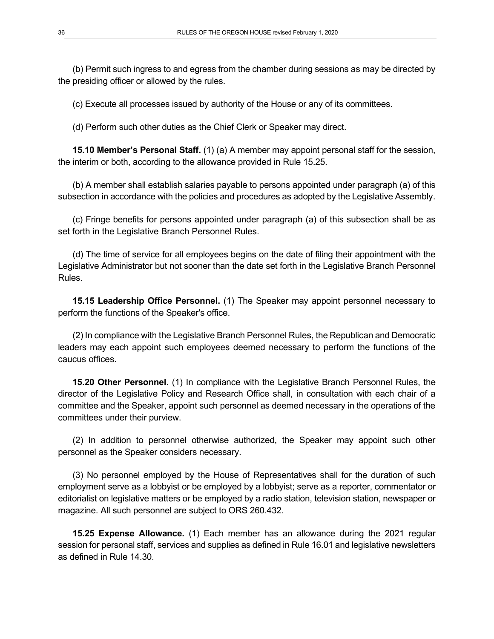(b) Permit such ingress to and egress from the chamber during sessions as may be directed by the presiding officer or allowed by the rules.

(c) Execute all processes issued by authority of the House or any of its committees.

(d) Perform such other duties as the Chief Clerk or Speaker may direct.

**15.10 Member's Personal Staff.** (1) (a) A member may appoint personal staff for the session, the interim or both, according to the allowance provided in Rule 15.25.

(b) A member shall establish salaries payable to persons appointed under paragraph (a) of this subsection in accordance with the policies and procedures as adopted by the Legislative Assembly.

(c) Fringe benefits for persons appointed under paragraph (a) of this subsection shall be as set forth in the Legislative Branch Personnel Rules.

(d) The time of service for all employees begins on the date of filing their appointment with the Legislative Administrator but not sooner than the date set forth in the Legislative Branch Personnel Rules.

**15.15 Leadership Office Personnel.** (1) The Speaker may appoint personnel necessary to perform the functions of the Speaker's office.

(2) In compliance with the Legislative Branch Personnel Rules, the Republican and Democratic leaders may each appoint such employees deemed necessary to perform the functions of the caucus offices.

**15.20 Other Personnel.** (1) In compliance with the Legislative Branch Personnel Rules, the director of the Legislative Policy and Research Office shall, in consultation with each chair of a committee and the Speaker, appoint such personnel as deemed necessary in the operations of the committees under their purview.

(2) In addition to personnel otherwise authorized, the Speaker may appoint such other personnel as the Speaker considers necessary.

(3) No personnel employed by the House of Representatives shall for the duration of such employment serve as a lobbyist or be employed by a lobbyist; serve as a reporter, commentator or editorialist on legislative matters or be employed by a radio station, television station, newspaper or magazine. All such personnel are subject to ORS 260.432.

**15.25 Expense Allowance.** (1) Each member has an allowance during the 2021 regular session for personal staff, services and supplies as defined in Rule 16.01 and legislative newsletters as defined in Rule 14.30.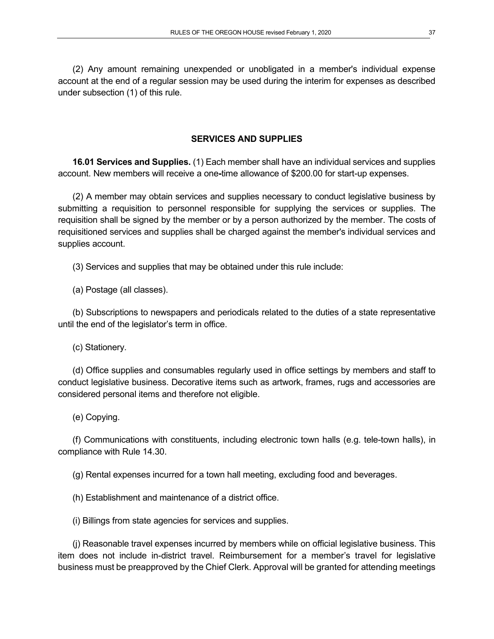(2) Any amount remaining unexpended or unobligated in a member's individual expense account at the end of a regular session may be used during the interim for expenses as described under subsection (1) of this rule.

## **SERVICES AND SUPPLIES**

**16.01 Services and Supplies.** (1) Each member shall have an individual services and supplies account. New members will receive a one**-**time allowance of \$200.00 for start-up expenses.

(2) A member may obtain services and supplies necessary to conduct legislative business by submitting a requisition to personnel responsible for supplying the services or supplies. The requisition shall be signed by the member or by a person authorized by the member. The costs of requisitioned services and supplies shall be charged against the member's individual services and supplies account.

(3) Services and supplies that may be obtained under this rule include:

(a) Postage (all classes).

(b) Subscriptions to newspapers and periodicals related to the duties of a state representative until the end of the legislator's term in office.

(c) Stationery.

(d) Office supplies and consumables regularly used in office settings by members and staff to conduct legislative business. Decorative items such as artwork, frames, rugs and accessories are considered personal items and therefore not eligible.

(e) Copying.

(f) Communications with constituents, including electronic town halls (e.g. tele-town halls), in compliance with Rule 14.30.

(g) Rental expenses incurred for a town hall meeting, excluding food and beverages.

(h) Establishment and maintenance of a district office.

(i) Billings from state agencies for services and supplies.

(j) Reasonable travel expenses incurred by members while on official legislative business. This item does not include in-district travel. Reimbursement for a member's travel for legislative business must be preapproved by the Chief Clerk. Approval will be granted for attending meetings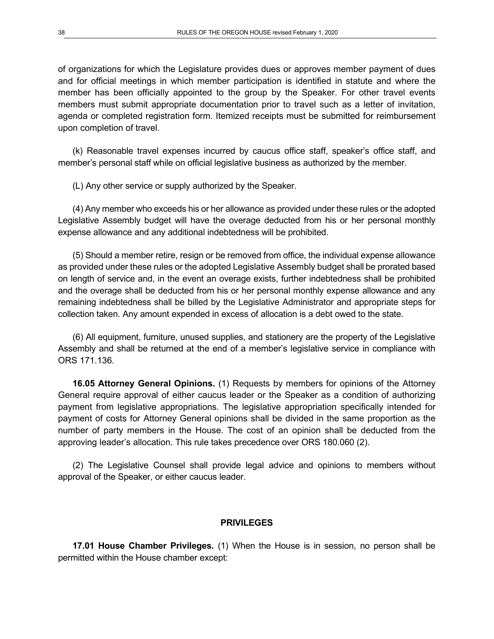of organizations for which the Legislature provides dues or approves member payment of dues and for official meetings in which member participation is identified in statute and where the member has been officially appointed to the group by the Speaker. For other travel events members must submit appropriate documentation prior to travel such as a letter of invitation, agenda or completed registration form. Itemized receipts must be submitted for reimbursement upon completion of travel.

(k) Reasonable travel expenses incurred by caucus office staff, speaker's office staff, and member's personal staff while on official legislative business as authorized by the member.

(L) Any other service or supply authorized by the Speaker.

(4) Any member who exceeds his or her allowance as provided under these rules or the adopted Legislative Assembly budget will have the overage deducted from his or her personal monthly expense allowance and any additional indebtedness will be prohibited.

(5) Should a member retire, resign or be removed from office, the individual expense allowance as provided under these rules or the adopted Legislative Assembly budget shall be prorated based on length of service and, in the event an overage exists, further indebtedness shall be prohibited and the overage shall be deducted from his or her personal monthly expense allowance and any remaining indebtedness shall be billed by the Legislative Administrator and appropriate steps for collection taken. Any amount expended in excess of allocation is a debt owed to the state.

(6) All equipment, furniture, unused supplies, and stationery are the property of the Legislative Assembly and shall be returned at the end of a member's legislative service in compliance with ORS 171.136.

**16.05 Attorney General Opinions.** (1) Requests by members for opinions of the Attorney General require approval of either caucus leader or the Speaker as a condition of authorizing payment from legislative appropriations. The legislative appropriation specifically intended for payment of costs for Attorney General opinions shall be divided in the same proportion as the number of party members in the House. The cost of an opinion shall be deducted from the approving leader's allocation. This rule takes precedence over ORS 180.060 (2).

(2) The Legislative Counsel shall provide legal advice and opinions to members without approval of the Speaker, or either caucus leader.

#### **PRIVILEGES**

**17.01 House Chamber Privileges.** (1) When the House is in session, no person shall be permitted within the House chamber except: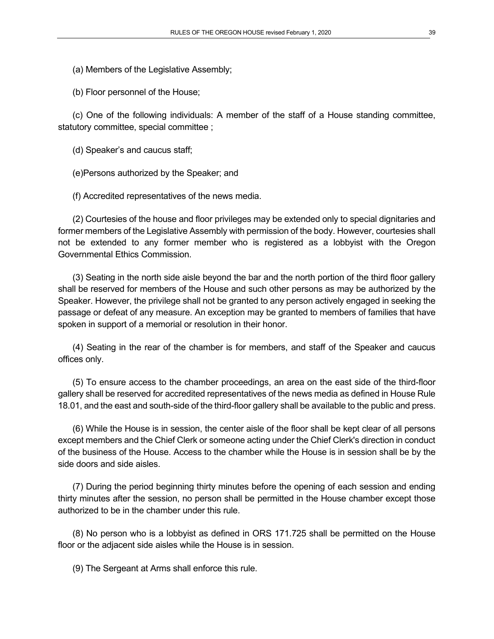(a) Members of the Legislative Assembly;

(b) Floor personnel of the House;

(c) One of the following individuals: A member of the staff of a House standing committee, statutory committee, special committee ;

(d) Speaker's and caucus staff;

(e)Persons authorized by the Speaker; and

(f) Accredited representatives of the news media.

(2) Courtesies of the house and floor privileges may be extended only to special dignitaries and former members of the Legislative Assembly with permission of the body. However, courtesies shall not be extended to any former member who is registered as a lobbyist with the Oregon Governmental Ethics Commission.

(3) Seating in the north side aisle beyond the bar and the north portion of the third floor gallery shall be reserved for members of the House and such other persons as may be authorized by the Speaker. However, the privilege shall not be granted to any person actively engaged in seeking the passage or defeat of any measure. An exception may be granted to members of families that have spoken in support of a memorial or resolution in their honor.

(4) Seating in the rear of the chamber is for members, and staff of the Speaker and caucus offices only.

(5) To ensure access to the chamber proceedings, an area on the east side of the third-floor gallery shall be reserved for accredited representatives of the news media as defined in House Rule 18.01, and the east and south-side of the third-floor gallery shall be available to the public and press.

(6) While the House is in session, the center aisle of the floor shall be kept clear of all persons except members and the Chief Clerk or someone acting under the Chief Clerk's direction in conduct of the business of the House. Access to the chamber while the House is in session shall be by the side doors and side aisles.

(7) During the period beginning thirty minutes before the opening of each session and ending thirty minutes after the session, no person shall be permitted in the House chamber except those authorized to be in the chamber under this rule.

(8) No person who is a lobbyist as defined in ORS 171.725 shall be permitted on the House floor or the adjacent side aisles while the House is in session.

(9) The Sergeant at Arms shall enforce this rule.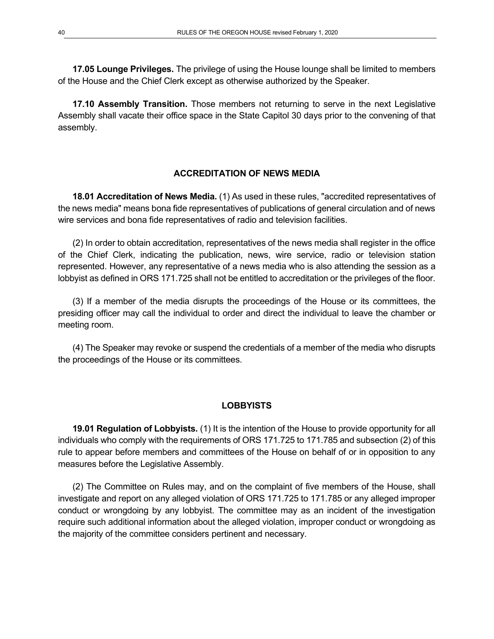**17.05 Lounge Privileges.** The privilege of using the House lounge shall be limited to members of the House and the Chief Clerk except as otherwise authorized by the Speaker.

**17.10 Assembly Transition.** Those members not returning to serve in the next Legislative Assembly shall vacate their office space in the State Capitol 30 days prior to the convening of that assembly.

### **ACCREDITATION OF NEWS MEDIA**

**18.01 Accreditation of News Media.** (1) As used in these rules, "accredited representatives of the news media" means bona fide representatives of publications of general circulation and of news wire services and bona fide representatives of radio and television facilities.

(2) In order to obtain accreditation, representatives of the news media shall register in the office of the Chief Clerk, indicating the publication, news, wire service, radio or television station represented. However, any representative of a news media who is also attending the session as a lobbyist as defined in ORS 171.725 shall not be entitled to accreditation or the privileges of the floor.

(3) If a member of the media disrupts the proceedings of the House or its committees, the presiding officer may call the individual to order and direct the individual to leave the chamber or meeting room.

(4) The Speaker may revoke or suspend the credentials of a member of the media who disrupts the proceedings of the House or its committees.

#### **LOBBYISTS**

**19.01 Regulation of Lobbyists.** (1) It is the intention of the House to provide opportunity for all individuals who comply with the requirements of ORS 171.725 to 171.785 and subsection (2) of this rule to appear before members and committees of the House on behalf of or in opposition to any measures before the Legislative Assembly.

(2) The Committee on Rules may, and on the complaint of five members of the House, shall investigate and report on any alleged violation of ORS 171.725 to 171.785 or any alleged improper conduct or wrongdoing by any lobbyist. The committee may as an incident of the investigation require such additional information about the alleged violation, improper conduct or wrongdoing as the majority of the committee considers pertinent and necessary.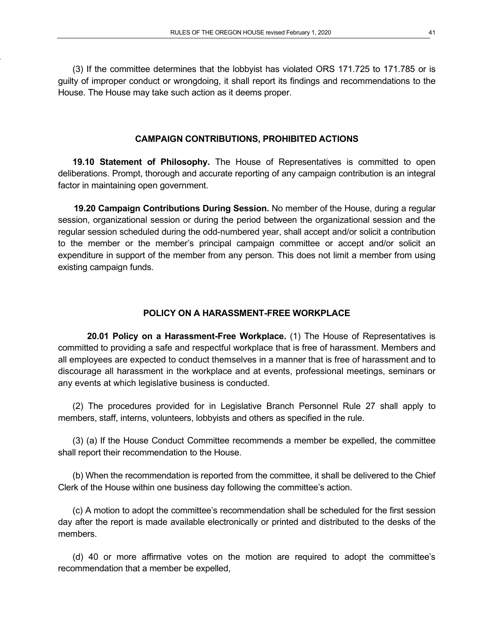(3) If the committee determines that the lobbyist has violated ORS 171.725 to 171.785 or is guilty of improper conduct or wrongdoing, it shall report its findings and recommendations to the House. The House may take such action as it deems proper.

#### **CAMPAIGN CONTRIBUTIONS, PROHIBITED ACTIONS**

**19.10 Statement of Philosophy.** The House of Representatives is committed to open deliberations. Prompt, thorough and accurate reporting of any campaign contribution is an integral factor in maintaining open government.

**19.20 Campaign Contributions During Session.** No member of the House, during a regular session, organizational session or during the period between the organizational session and the regular session scheduled during the odd-numbered year, shall accept and/or solicit a contribution to the member or the member's principal campaign committee or accept and/or solicit an expenditure in support of the member from any person. This does not limit a member from using existing campaign funds.

#### **POLICY ON A HARASSMENT-FREE WORKPLACE**

**20.01 Policy on a Harassment-Free Workplace.** (1) The House of Representatives is committed to providing a safe and respectful workplace that is free of harassment. Members and all employees are expected to conduct themselves in a manner that is free of harassment and to discourage all harassment in the workplace and at events, professional meetings, seminars or any events at which legislative business is conducted.

(2) The procedures provided for in Legislative Branch Personnel Rule 27 shall apply to members, staff, interns, volunteers, lobbyists and others as specified in the rule.

(3) (a) If the House Conduct Committee recommends a member be expelled, the committee shall report their recommendation to the House.

(b) When the recommendation is reported from the committee, it shall be delivered to the Chief Clerk of the House within one business day following the committee's action.

(c) A motion to adopt the committee's recommendation shall be scheduled for the first session day after the report is made available electronically or printed and distributed to the desks of the members.

(d) 40 or more affirmative votes on the motion are required to adopt the committee's recommendation that a member be expelled,